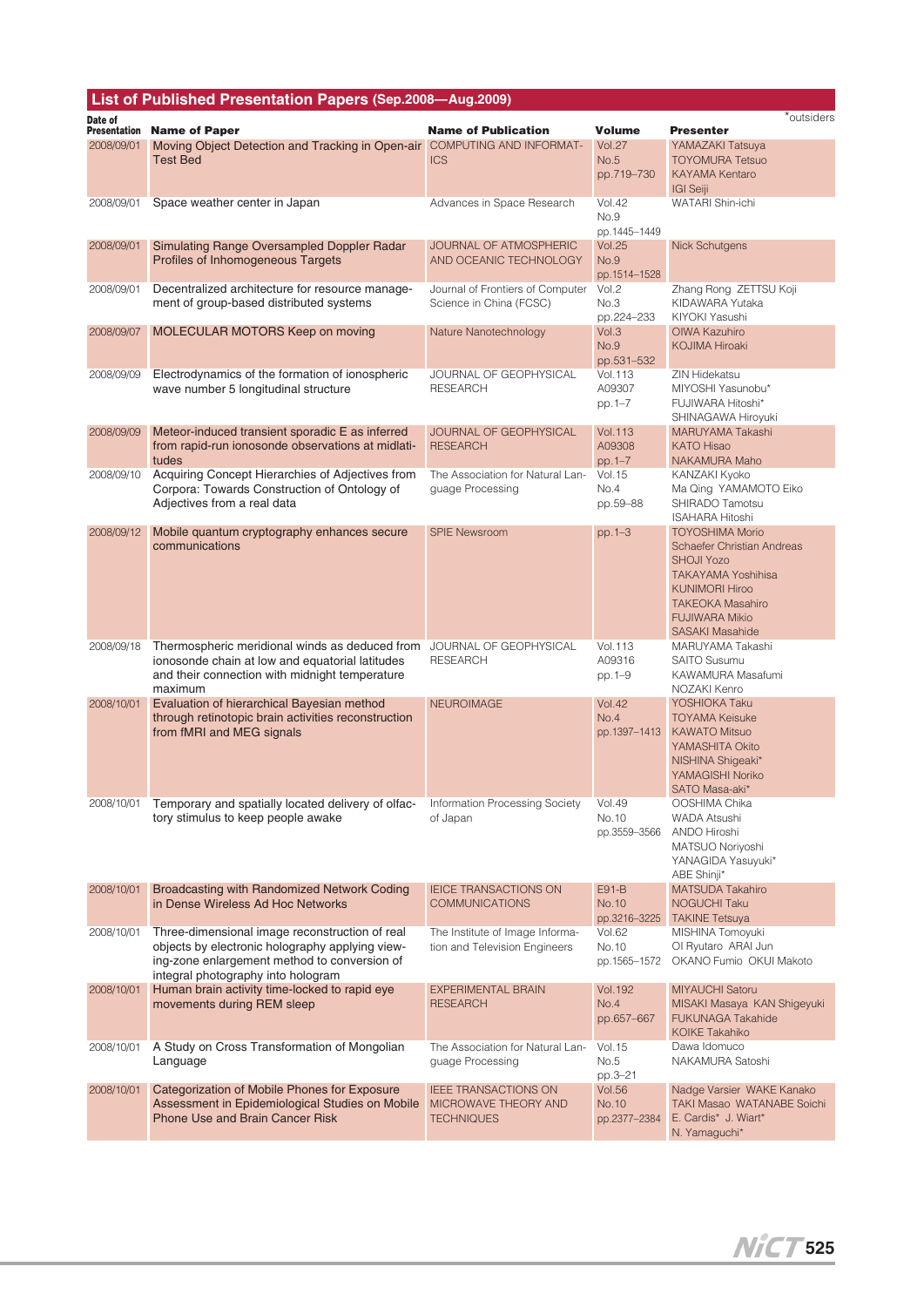|                                | List of Published Presentation Papers (Sep.2008-Aug.2009)                                                                                                                               |                                                                          |                                        |                                                                                                                                                                                                                      |
|--------------------------------|-----------------------------------------------------------------------------------------------------------------------------------------------------------------------------------------|--------------------------------------------------------------------------|----------------------------------------|----------------------------------------------------------------------------------------------------------------------------------------------------------------------------------------------------------------------|
| Date of<br><b>Presentation</b> | <b>Name of Paper</b>                                                                                                                                                                    | <b>Name of Publication</b>                                               | <b>Volume</b>                          | *outsiders<br><b>Presenter</b>                                                                                                                                                                                       |
| 2008/09/01                     | Moving Object Detection and Tracking in Open-air                                                                                                                                        | COMPUTING AND INFORMAT-                                                  | <b>Vol.27</b>                          | YAMAZAKI Tatsuya                                                                                                                                                                                                     |
|                                | <b>Test Bed</b>                                                                                                                                                                         | <b>ICS</b>                                                               | No.5<br>pp.719-730                     | <b>TOYOMURA Tetsuo</b><br><b>KAYAMA Kentaro</b><br><b>IGI Seiji</b>                                                                                                                                                  |
| 2008/09/01                     | Space weather center in Japan                                                                                                                                                           | Advances in Space Research                                               | <b>Vol.42</b><br>No.9<br>pp.1445-1449  | WATARI Shin-ichi                                                                                                                                                                                                     |
| 2008/09/01                     | Simulating Range Oversampled Doppler Radar<br>Profiles of Inhomogeneous Targets                                                                                                         | <b>JOURNAL OF ATMOSPHERIC</b><br>AND OCEANIC TECHNOLOGY                  | <b>Vol.25</b><br>No.9<br>pp.1514-1528  | <b>Nick Schutgens</b>                                                                                                                                                                                                |
| 2008/09/01                     | Decentralized architecture for resource manage-<br>ment of group-based distributed systems                                                                                              | Journal of Frontiers of Computer<br>Science in China (FCSC)              | Vol.2<br>No.3<br>pp.224-233            | Zhang Rong ZETTSU Koji<br>KIDAWARA Yutaka<br>KIYOKI Yasushi                                                                                                                                                          |
| 2008/09/07                     | MOLECULAR MOTORS Keep on moving                                                                                                                                                         | Nature Nanotechnology                                                    | Vol.3<br>No.9<br>pp.531-532            | OIWA Kazuhiro<br><b>KOJIMA Hiroaki</b>                                                                                                                                                                               |
| 2008/09/09                     | Electrodynamics of the formation of ionospheric<br>wave number 5 longitudinal structure                                                                                                 | JOURNAL OF GEOPHYSICAL<br><b>RESEARCH</b>                                | <b>Vol.113</b><br>A09307<br>pp.1-7     | <b>ZIN Hidekatsu</b><br>MIYOSHI Yasunobu*<br>FUJIWARA Hitoshi*<br>SHINAGAWA Hiroyuki                                                                                                                                 |
| 2008/09/09                     | Meteor-induced transient sporadic E as inferred<br>from rapid-run ionosonde observations at midlati-<br>tudes                                                                           | <b>JOURNAL OF GEOPHYSICAL</b><br><b>RESEARCH</b>                         | <b>Vol.113</b><br>A09308<br>pp.1-7     | MARUYAMA Takashi<br><b>KATO Hisao</b><br>NAKAMURA Maho                                                                                                                                                               |
| 2008/09/10                     | Acquiring Concept Hierarchies of Adjectives from<br>Corpora: Towards Construction of Ontology of<br>Adjectives from a real data                                                         | The Association for Natural Lan-<br>guage Processing                     | <b>Vol.15</b><br>No.4<br>pp.59-88      | KANZAKI Kyoko<br>Ma Qing YAMAMOTO Eiko<br>SHIRADO Tamotsu<br><b>ISAHARA Hitoshi</b>                                                                                                                                  |
| 2008/09/12                     | Mobile quantum cryptography enhances secure<br>communications                                                                                                                           | <b>SPIE Newsroom</b>                                                     | $pp.1 - 3$                             | <b>TOYOSHIMA Morio</b><br><b>Schaefer Christian Andreas</b><br><b>SHOJI Yozo</b><br><b>TAKAYAMA Yoshihisa</b><br><b>KUNIMORI Hiroo</b><br><b>TAKEOKA Masahiro</b><br><b>FUJIWARA Mikio</b><br><b>SASAKI Masahide</b> |
| 2008/09/18                     | Thermospheric meridional winds as deduced from<br>ionosonde chain at low and equatorial latitudes<br>and their connection with midnight temperature<br>maximum                          | JOURNAL OF GEOPHYSICAL<br><b>RESEARCH</b>                                | <b>Vol.113</b><br>A09316<br>pp.1-9     | MARUYAMA Takashi<br><b>SAITO Susumu</b><br>KAWAMURA Masafumi<br>NOZAKI Kenro                                                                                                                                         |
| 2008/10/01                     | Evaluation of hierarchical Bayesian method<br>through retinotopic brain activities reconstruction<br>from fMRI and MEG signals                                                          | <b>NEUROIMAGE</b>                                                        | <b>Vol.42</b><br>No.4<br>pp.1397-1413  | YOSHIOKA Taku<br><b>TOYAMA Keisuke</b><br><b>KAWATO Mitsuo</b><br>YAMASHITA Okito<br>NISHINA Shigeaki*<br>YAMAGISHI Noriko<br>SATO Masa-aki*                                                                         |
| 2008/10/01                     | Temporary and spatially located delivery of olfac-<br>tory stimulus to keep people awake                                                                                                | Information Processing Society<br>of Japan                               | <b>Vol.49</b><br>No.10<br>pp.3559-3566 | OOSHIMA Chika<br><b>WADA Atsushi</b><br>ANDO Hiroshi<br>MATSUO Noriyoshi<br>YANAGIDA Yasuyuki*<br>ABE Shinji*                                                                                                        |
| 2008/10/01                     | Broadcasting with Randomized Network Coding<br>in Dense Wireless Ad Hoc Networks                                                                                                        | <b>IEICE TRANSACTIONS ON</b><br><b>COMMUNICATIONS</b>                    | E91-B<br>No.10<br>pp.3216-3225         | <b>MATSUDA Takahiro</b><br><b>NOGUCHI Taku</b><br><b>TAKINE Tetsuya</b>                                                                                                                                              |
| 2008/10/01                     | Three-dimensional image reconstruction of real<br>objects by electronic holography applying view-<br>ing-zone enlargement method to conversion of<br>integral photography into hologram | The Institute of Image Informa-<br>tion and Television Engineers         | <b>Vol.62</b><br>No.10<br>pp.1565-1572 | MISHINA Tomoyuki<br>Ol Ryutaro ARAI Jun<br>OKANO Fumio OKUI Makoto                                                                                                                                                   |
| 2008/10/01                     | Human brain activity time-locked to rapid eye<br>movements during REM sleep                                                                                                             | <b>EXPERIMENTAL BRAIN</b><br><b>RESEARCH</b>                             | <b>Vol. 192</b><br>No.4<br>pp.657-667  | <b>MIYAUCHI Satoru</b><br>MISAKI Masaya KAN Shigeyuki<br><b>FUKUNAGA Takahide</b><br><b>KOIKE Takahiko</b>                                                                                                           |
| 2008/10/01                     | A Study on Cross Transformation of Mongolian<br>Language                                                                                                                                | The Association for Natural Lan-<br>guage Processing                     | <b>Vol.15</b><br>No.5<br>pp.3-21       | Dawa Idomuco<br>NAKAMURA Satoshi                                                                                                                                                                                     |
| 2008/10/01                     | Categorization of Mobile Phones for Exposure<br>Assessment in Epidemiological Studies on Mobile<br><b>Phone Use and Brain Cancer Risk</b>                                               | <b>IEEE TRANSACTIONS ON</b><br>MICROWAVE THEORY AND<br><b>TECHNIQUES</b> | <b>Vol.56</b><br>No.10<br>pp.2377-2384 | Nadge Varsier WAKE Kanako<br>TAKI Masao WATANABE Soichi<br>E. Cardis* J. Wiart*<br>N. Yamaguchi*                                                                                                                     |

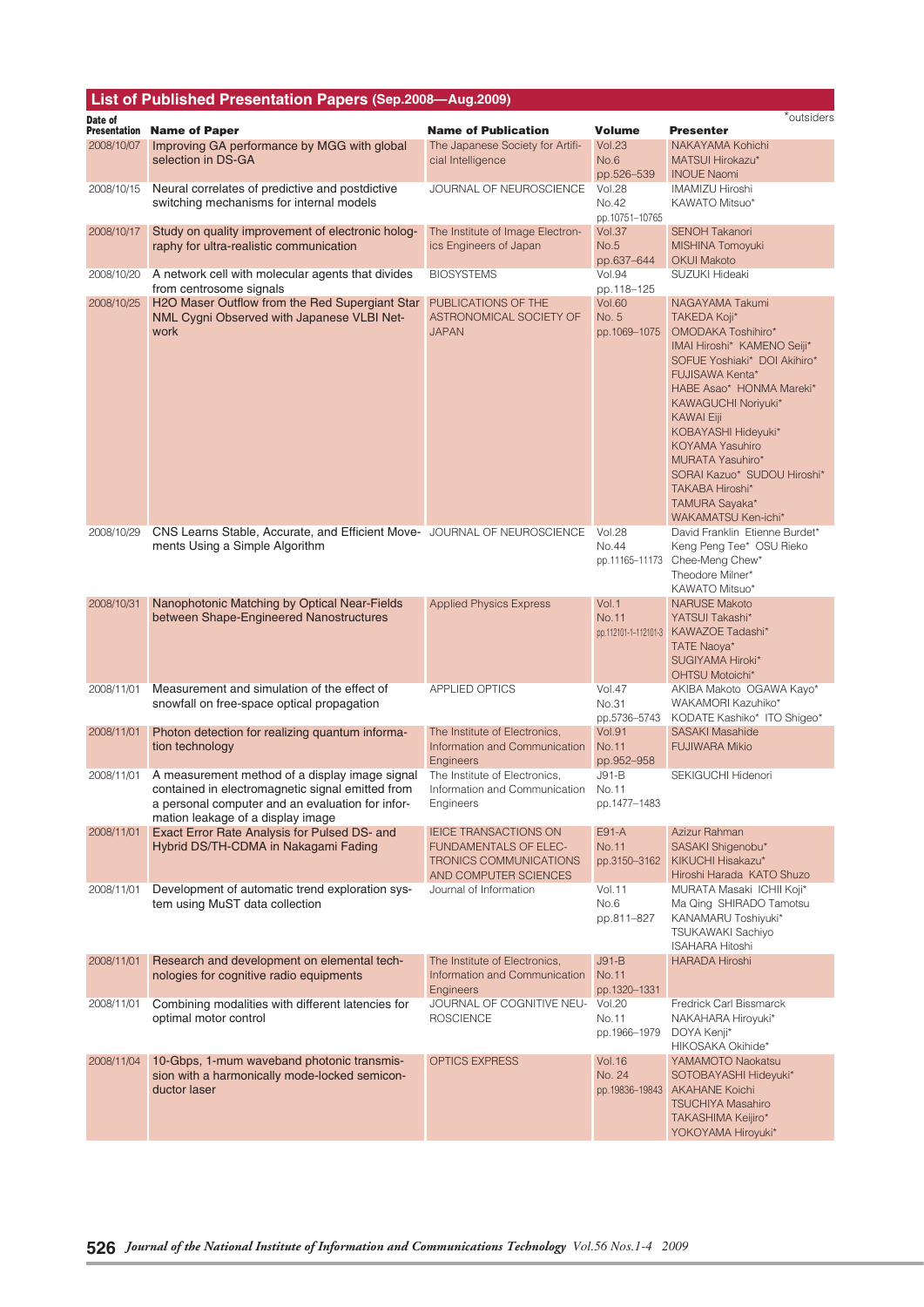|                                | List of Published Presentation Papers (Sep.2008-Aug.2009)                                            |                                                                |                               |                                                       |
|--------------------------------|------------------------------------------------------------------------------------------------------|----------------------------------------------------------------|-------------------------------|-------------------------------------------------------|
| Date of<br><b>Presentation</b> | <b>Name of Paper</b>                                                                                 | <b>Name of Publication</b>                                     | <b>Volume</b>                 | *outsiders<br><b>Presenter</b>                        |
| 2008/10/07                     | Improving GA performance by MGG with global                                                          | The Japanese Society for Artifi-                               | <b>Vol.23</b>                 | <b>NAKAYAMA Kohichi</b>                               |
|                                | selection in DS-GA                                                                                   | cial Intelligence                                              | No.6                          | MATSUI Hirokazu*                                      |
|                                | Neural correlates of predictive and postdictive                                                      | JOURNAL OF NEUROSCIENCE                                        | pp.526-539<br><b>Vol.28</b>   | <b>INOUE Naomi</b><br><b>IMAMIZU Hiroshi</b>          |
| 2008/10/15                     | switching mechanisms for internal models                                                             |                                                                | No.42                         | KAWATO Mitsuo*                                        |
|                                |                                                                                                      |                                                                | pp.10751-10765                |                                                       |
| 2008/10/17                     | Study on quality improvement of electronic holog-                                                    | The Institute of Image Electron-                               | Vol.37                        | <b>SENOH Takanori</b>                                 |
|                                | raphy for ultra-realistic communication                                                              | ics Engineers of Japan                                         | No.5<br>pp.637-644            | MISHINA Tomoyuki<br><b>OKUI Makoto</b>                |
| 2008/10/20                     | A network cell with molecular agents that divides                                                    | <b>BIOSYSTEMS</b>                                              | <b>Vol.94</b>                 | SUZUKI Hideaki                                        |
|                                | from centrosome signals                                                                              |                                                                | pp.118-125                    |                                                       |
| 2008/10/25                     | H2O Maser Outflow from the Red Supergiant Star<br>NML Cygni Observed with Japanese VLBI Net-         | PUBLICATIONS OF THE<br>ASTRONOMICAL SOCIETY OF                 | <b>Vol.60</b><br>No. 5        | NAGAYAMA Takumi<br>TAKEDA Koji*                       |
|                                | work                                                                                                 | <b>JAPAN</b>                                                   | pp.1069-1075                  | OMODAKA Toshihiro*                                    |
|                                |                                                                                                      |                                                                |                               | IMAI Hiroshi* KAMENO Seiji*                           |
|                                |                                                                                                      |                                                                |                               | SOFUE Yoshiaki* DOI Akihiro*<br>FUJISAWA Kenta*       |
|                                |                                                                                                      |                                                                |                               | HABE Asao* HONMA Mareki*                              |
|                                |                                                                                                      |                                                                |                               | KAWAGUCHI Noriyuki*                                   |
|                                |                                                                                                      |                                                                |                               | <b>KAWAI Eiji</b><br>KOBAYASHI Hideyuki*              |
|                                |                                                                                                      |                                                                |                               | <b>KOYAMA Yasuhiro</b>                                |
|                                |                                                                                                      |                                                                |                               | <b>MURATA Yasuhiro*</b>                               |
|                                |                                                                                                      |                                                                |                               | SORAI Kazuo* SUDOU Hiroshi*<br>TAKABA Hiroshi*        |
|                                |                                                                                                      |                                                                |                               | TAMURA Sayaka*                                        |
| 2008/10/29                     | CNS Learns Stable, Accurate, and Efficient Move- JOURNAL OF NEUROSCIENCE                             |                                                                | <b>Vol.28</b>                 | WAKAMATSU Ken-ichi*<br>David Franklin Etienne Burdet* |
|                                | ments Using a Simple Algorithm                                                                       |                                                                | No.44                         | Keng Peng Tee* OSU Rieko                              |
|                                |                                                                                                      |                                                                | pp.11165-11173                | Chee-Meng Chew*                                       |
|                                |                                                                                                      |                                                                |                               | Theodore Milner*<br>KAWATO Mitsuo*                    |
| 2008/10/31                     | Nanophotonic Matching by Optical Near-Fields                                                         | <b>Applied Physics Express</b>                                 | Vol.1                         | <b>NARUSE Makoto</b>                                  |
|                                | between Shape-Engineered Nanostructures                                                              |                                                                | No.11<br>pp.112101-1-112101-3 | YATSUI Takashi*<br>KAWAZOE Tadashi*                   |
|                                |                                                                                                      |                                                                |                               | TATE Naoya*                                           |
|                                |                                                                                                      |                                                                |                               | SUGIYAMA Hiroki*                                      |
| 2008/11/01                     | Measurement and simulation of the effect of                                                          | <b>APPLIED OPTICS</b>                                          | <b>Vol.47</b>                 | <b>OHTSU Motoichi*</b><br>AKIBA Makoto OGAWA Kayo*    |
|                                | snowfall on free-space optical propagation                                                           |                                                                | No.31                         | WAKAMORI Kazuhiko*                                    |
|                                |                                                                                                      |                                                                | pp.5736-5743                  | KODATE Kashiko* ITO Shigeo*                           |
| 2008/11/01                     | Photon detection for realizing quantum informa-<br>tion technology                                   | The Institute of Electronics,<br>Information and Communication | <b>Vol.91</b><br>No.11        | <b>SASAKI Masahide</b><br><b>FUJIWARA Mikio</b>       |
|                                |                                                                                                      | <b>Engineers</b>                                               | pp.952-958                    |                                                       |
| 2008/11/01                     | A measurement method of a display image signal                                                       | The Institute of Electronics,                                  | $J91-B$                       | SEKIGUCHI Hidenori                                    |
|                                | contained in electromagnetic signal emitted from<br>a personal computer and an evaluation for infor- | Information and Communication<br>Engineers                     | No.11<br>pp.1477-1483         |                                                       |
|                                | mation leakage of a display image                                                                    |                                                                |                               |                                                       |
| 2008/11/01                     | Exact Error Rate Analysis for Pulsed DS- and                                                         | <b>IEICE TRANSACTIONS ON</b>                                   | E91-A                         | Azizur Rahman                                         |
|                                | Hybrid DS/TH-CDMA in Nakagami Fading                                                                 | <b>FUNDAMENTALS OF ELEC-</b><br><b>TRONICS COMMUNICATIONS</b>  | No.11<br>pp.3150-3162         | SASAKI Shigenobu*<br>KIKUCHI Hisakazu*                |
|                                |                                                                                                      | AND COMPUTER SCIENCES                                          |                               | Hiroshi Harada KATO Shuzo                             |
| 2008/11/01                     | Development of automatic trend exploration sys-<br>tem using MuST data collection                    | Journal of Information                                         | <b>Vol.11</b><br>No.6         | MURATA Masaki ICHII Koji*<br>Ma Qing SHIRADO Tamotsu  |
|                                |                                                                                                      |                                                                | pp.811-827                    | KANAMARU Toshiyuki*                                   |
|                                |                                                                                                      |                                                                |                               | <b>TSUKAWAKI Sachiyo</b>                              |
| 2008/11/01                     | Research and development on elemental tech-                                                          | The Institute of Electronics,                                  | $J91-B$                       | <b>ISAHARA Hitoshi</b><br><b>HARADA Hiroshi</b>       |
|                                | nologies for cognitive radio equipments                                                              | Information and Communication                                  | No.11                         |                                                       |
|                                |                                                                                                      | <b>Engineers</b>                                               | pp.1320-1331                  |                                                       |
| 2008/11/01                     | Combining modalities with different latencies for<br>optimal motor control                           | JOURNAL OF COGNITIVE NEU- Vol.20<br><b>ROSCIENCE</b>           | No.11                         | Fredrick Carl Bissmarck<br>NAKAHARA Hiroyuki*         |
|                                |                                                                                                      |                                                                | pp.1966-1979                  | DOYA Kenji*                                           |
|                                |                                                                                                      |                                                                |                               | HIKOSAKA Okihide*                                     |
| 2008/11/04                     | 10-Gbps, 1-mum waveband photonic transmis-<br>sion with a harmonically mode-locked semicon-          | <b>OPTICS EXPRESS</b>                                          | <b>Vol.16</b><br>No. 24       | YAMAMOTO Naokatsu<br>SOTOBAYASHI Hideyuki*            |
|                                | ductor laser                                                                                         |                                                                | pp.19836-19843                | <b>AKAHANE Koichi</b>                                 |
|                                |                                                                                                      |                                                                |                               | <b>TSUCHIYA Masahiro</b>                              |
|                                |                                                                                                      |                                                                |                               | TAKASHIMA Keijiro*<br>YOKOYAMA Hiroyuki*              |
|                                |                                                                                                      |                                                                |                               |                                                       |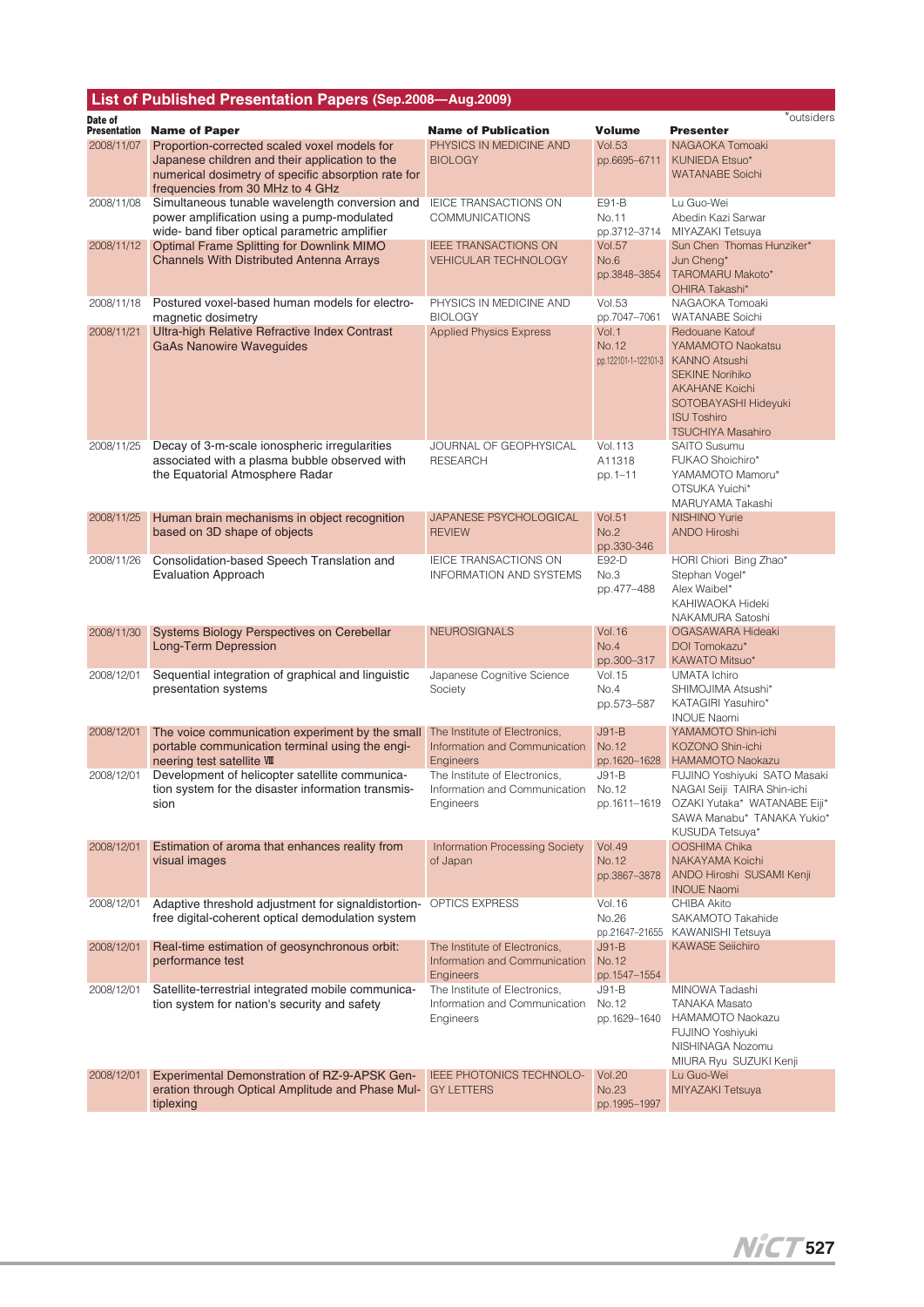| List of Published Presentation Papers (Sep.2008-Aug.2009) |                                                                                                                                               |                                                                             |                                          |                                                                                                                                                                                           |
|-----------------------------------------------------------|-----------------------------------------------------------------------------------------------------------------------------------------------|-----------------------------------------------------------------------------|------------------------------------------|-------------------------------------------------------------------------------------------------------------------------------------------------------------------------------------------|
| Date of<br>Presentation                                   | <b>Name of Paper</b>                                                                                                                          | <b>Name of Publication</b>                                                  | Volume                                   | *outsiders<br><b>Presenter</b>                                                                                                                                                            |
| 2008/11/07                                                | Proportion-corrected scaled voxel models for                                                                                                  | PHYSICS IN MEDICINE AND                                                     | <b>Vol.53</b>                            | NAGAOKA Tomoaki                                                                                                                                                                           |
|                                                           | Japanese children and their application to the<br>numerical dosimetry of specific absorption rate for<br>frequencies from 30 MHz to 4 GHz     | <b>BIOLOGY</b>                                                              | pp.6695-6711                             | <b>KUNIEDA Etsuo*</b><br><b>WATANABE Soichi</b>                                                                                                                                           |
| 2008/11/08                                                | Simultaneous tunable wavelength conversion and<br>power amplification using a pump-modulated<br>wide- band fiber optical parametric amplifier | IEICE TRANSACTIONS ON<br><b>COMMUNICATIONS</b>                              | E91-B<br>No.11<br>pp.3712-3714           | Lu Guo-Wei<br>Abedin Kazi Sarwar<br>MIYAZAKI Tetsuya                                                                                                                                      |
| 2008/11/12                                                | Optimal Frame Splitting for Downlink MIMO<br><b>Channels With Distributed Antenna Arrays</b>                                                  | <b>IEEE TRANSACTIONS ON</b><br><b>VEHICULAR TECHNOLOGY</b>                  | <b>Vol.57</b><br>No.6<br>pp.3848-3854    | Sun Chen Thomas Hunziker*<br>Jun Cheng*<br>TAROMARU Makoto*<br>OHIRA Takashi*                                                                                                             |
| 2008/11/18                                                | Postured voxel-based human models for electro-<br>magnetic dosimetry                                                                          | PHYSICS IN MEDICINE AND<br><b>BIOLOGY</b>                                   | <b>Vol.53</b><br>pp.7047-7061            | NAGAOKA Tomoaki<br><b>WATANABE Soichi</b>                                                                                                                                                 |
| 2008/11/21                                                | Ultra-high Relative Refractive Index Contrast<br><b>GaAs Nanowire Waveguides</b>                                                              | <b>Applied Physics Express</b>                                              | Vol.1<br>No.12<br>pp.122101-1-122101-3   | Redouane Katouf<br>YAMAMOTO Naokatsu<br><b>KANNO Atsushi</b><br><b>SEKINE Norihiko</b><br><b>AKAHANE Koichi</b><br>SOTOBAYASHI Hideyuki<br><b>ISU Toshiro</b><br><b>TSUCHIYA Masahiro</b> |
| 2008/11/25                                                | Decay of 3-m-scale ionospheric irregularities<br>associated with a plasma bubble observed with<br>the Equatorial Atmosphere Radar             | JOURNAL OF GEOPHYSICAL<br><b>RESEARCH</b>                                   | <b>Vol.113</b><br>A11318<br>pp.1-11      | <b>SAITO Susumu</b><br>FUKAO Shoichiro*<br>YAMAMOTO Mamoru*<br>OTSUKA Yuichi*<br>MARUYAMA Takashi                                                                                         |
| 2008/11/25                                                | Human brain mechanisms in object recognition<br>based on 3D shape of objects                                                                  | JAPANESE PSYCHOLOGICAL<br><b>REVIEW</b>                                     | <b>Vol.51</b><br>No.2<br>pp.330-346      | <b>NISHINO Yurie</b><br><b>ANDO Hiroshi</b>                                                                                                                                               |
| 2008/11/26                                                | Consolidation-based Speech Translation and<br><b>Evaluation Approach</b>                                                                      | IEICE TRANSACTIONS ON<br><b>INFORMATION AND SYSTEMS</b>                     | E92-D<br>No.3<br>pp.477-488              | HORI Chiori Bing Zhao*<br>Stephan Vogel*<br>Alex Waibel*<br>KAHIWAOKA Hideki<br>NAKAMURA Satoshi                                                                                          |
| 2008/11/30                                                | Systems Biology Perspectives on Cerebellar<br><b>Long-Term Depression</b>                                                                     | <b>NEUROSIGNALS</b>                                                         | <b>Vol.16</b><br>No.4<br>pp.300-317      | OGASAWARA Hideaki<br>DOI Tomokazu*<br>KAWATO Mitsuo*                                                                                                                                      |
| 2008/12/01                                                | Sequential integration of graphical and linguistic<br>presentation systems                                                                    | Japanese Cognitive Science<br>Society                                       | <b>Vol.15</b><br>No.4<br>pp.573-587      | <b>UMATA</b> Ichiro<br>SHIMOJIMA Atsushi*<br>KATAGIRI Yasuhiro*<br><b>INOUE Naomi</b>                                                                                                     |
| 2008/12/01                                                | The voice communication experiment by the small<br>portable communication terminal using the engi-<br>neering test satellite VIII             | The Institute of Electronics.<br>Information and Communication<br>Engineers | $J91-B$<br>No.12<br>pp.1620-1628         | YAMAMOTO Shin-ichi<br>KOZONO Shin-ichi<br><b>HAMAMOTO Naokazu</b>                                                                                                                         |
| 2008/12/01                                                | Development of helicopter satellite communica-<br>tion system for the disaster information transmis-<br>sion                                  | The Institute of Electronics.<br>Information and Communication<br>Engineers | $J91-B$<br>No.12<br>pp.1611-1619         | FUJINO Yoshiyuki SATO Masaki<br>NAGAI Seiji TAIRA Shin-ichi<br>OZAKI Yutaka* WATANABE Eiji*<br>SAWA Manabu* TANAKA Yukio*<br>KUSUDA Tetsuya*                                              |
| 2008/12/01                                                | Estimation of aroma that enhances reality from<br>visual images                                                                               | <b>Information Processing Society</b><br>of Japan                           | <b>Vol.49</b><br>No.12<br>pp.3867-3878   | OOSHIMA Chika<br>NAKAYAMA Koichi<br>ANDO Hiroshi SUSAMI Kenji<br><b>INOUE Naomi</b>                                                                                                       |
| 2008/12/01                                                | Adaptive threshold adjustment for signaldistortion-<br>free digital-coherent optical demodulation system                                      | OPTICS EXPRESS                                                              | <b>Vol.16</b><br>No.26<br>pp.21647-21655 | <b>CHIBA Akito</b><br>SAKAMOTO Takahide<br>KAWANISHI Tetsuya                                                                                                                              |
| 2008/12/01                                                | Real-time estimation of geosynchronous orbit:<br>performance test                                                                             | The Institute of Electronics,<br>Information and Communication<br>Engineers | $J91-B$<br>No.12<br>pp.1547-1554         | <b>KAWASE Seiichiro</b>                                                                                                                                                                   |
| 2008/12/01                                                | Satellite-terrestrial integrated mobile communica-<br>tion system for nation's security and safety                                            | The Institute of Electronics,<br>Information and Communication<br>Engineers | $J91-B$<br>No.12<br>pp.1629-1640         | MINOWA Tadashi<br><b>TANAKA Masato</b><br>HAMAMOTO Naokazu<br>FUJINO Yoshiyuki<br>NISHINAGA Nozomu<br>MIURA Ryu SUZUKI Kenji                                                              |
| 2008/12/01                                                | Experimental Demonstration of RZ-9-APSK Gen-<br>eration through Optical Amplitude and Phase Mul-<br>tiplexing                                 | IEEE PHOTONICS TECHNOLO-<br><b>GY LETTERS</b>                               | <b>Vol.20</b><br>No.23<br>pp.1995-1997   | Lu Guo-Wei<br>MIYAZAKI Tetsuya                                                                                                                                                            |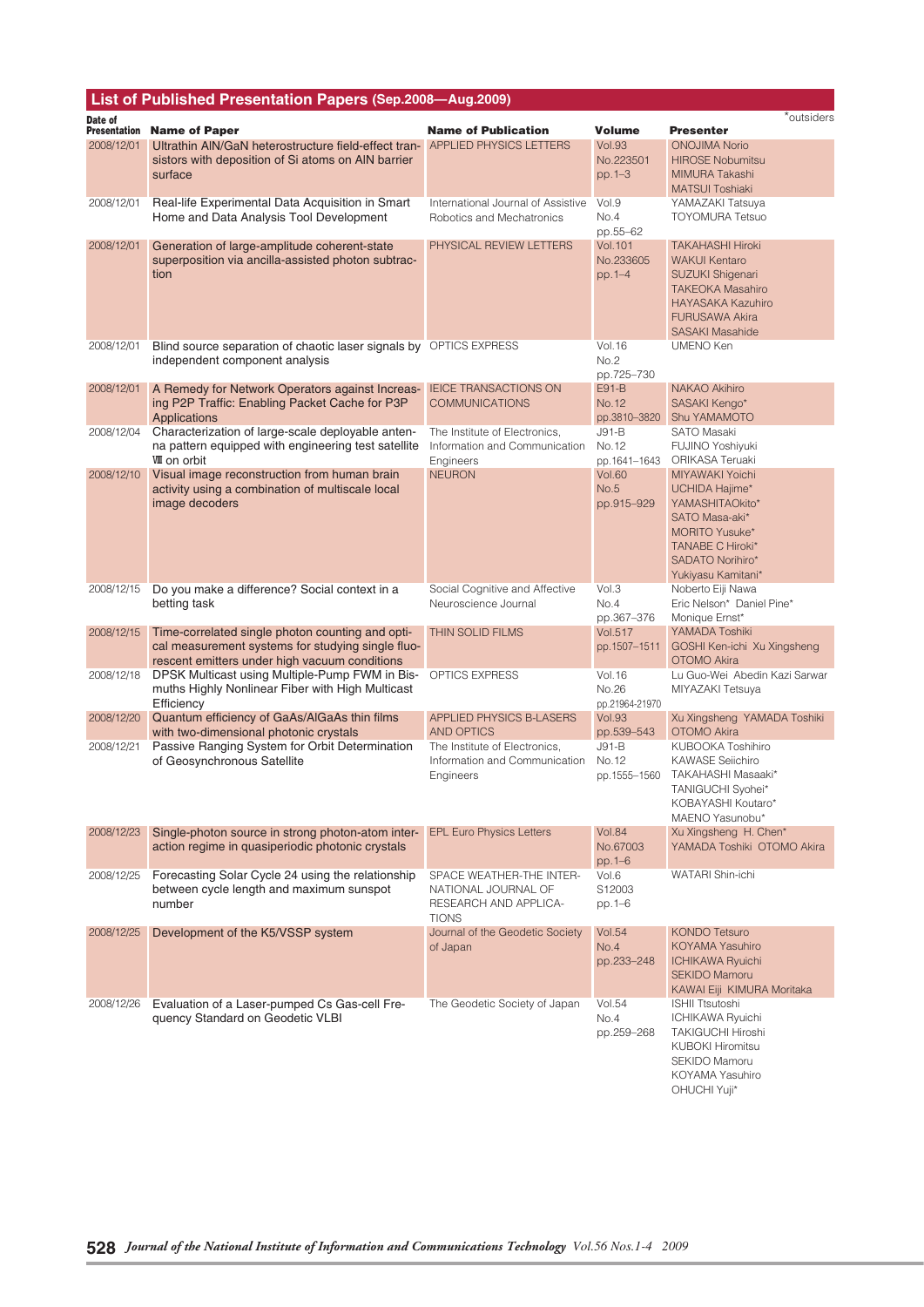|                                | List of Published Presentation Papers (Sep.2008-Aug.2009)                                                                                                              |                                                                                          |                                                         |                                                                                                                                                                                      |
|--------------------------------|------------------------------------------------------------------------------------------------------------------------------------------------------------------------|------------------------------------------------------------------------------------------|---------------------------------------------------------|--------------------------------------------------------------------------------------------------------------------------------------------------------------------------------------|
| Date of<br><b>Presentation</b> | <b>Name of Paper</b>                                                                                                                                                   | <b>Name of Publication</b>                                                               | <b>Volume</b>                                           | *outsiders<br><b>Presenter</b>                                                                                                                                                       |
| 2008/12/01                     | Ultrathin AIN/GaN heterostructure field-effect tran- APPLIED PHYSICS LETTERS<br>sistors with deposition of Si atoms on AIN barrier<br>surface                          |                                                                                          | <b>Vol.93</b><br>No.223501<br>$pp.1 - 3$                | <b>ONOJIMA Norio</b><br><b>HIROSE Nobumitsu</b><br>MIMURA Takashi<br><b>MATSUI Toshiaki</b>                                                                                          |
| 2008/12/01                     | Real-life Experimental Data Acquisition in Smart<br>Home and Data Analysis Tool Development                                                                            | International Journal of Assistive<br>Robotics and Mechatronics                          | Vol.9<br>No.4<br>pp.55-62                               | YAMAZAKI Tatsuya<br><b>TOYOMURA Tetsuo</b>                                                                                                                                           |
| 2008/12/01                     | Generation of large-amplitude coherent-state<br>superposition via ancilla-assisted photon subtrac-<br>tion                                                             | PHYSICAL REVIEW LETTERS                                                                  | <b>Vol.101</b><br>No.233605<br>pp. 1-4                  | <b>TAKAHASHI Hiroki</b><br><b>WAKUI Kentaro</b><br><b>SUZUKI Shigenari</b><br><b>TAKEOKA Masahiro</b><br><b>HAYASAKA Kazuhiro</b><br><b>FURUSAWA Akira</b><br><b>SASAKI Masahide</b> |
| 2008/12/01                     | Blind source separation of chaotic laser signals by OPTICS EXPRESS<br>independent component analysis                                                                   |                                                                                          | <b>Vol.16</b><br>No.2                                   | UMENO Ken                                                                                                                                                                            |
| 2008/12/01                     | A Remedy for Network Operators against Increas-<br>ing P2P Traffic: Enabling Packet Cache for P3P<br>Applications<br>Characterization of large-scale deployable anten- | <b>IEICE TRANSACTIONS ON</b><br><b>COMMUNICATIONS</b><br>The Institute of Electronics,   | pp.725-730<br>E91-B<br>No.12<br>pp.3810-3820<br>$J91-B$ | NAKAO Akihiro<br>SASAKI Kengo*<br>Shu YAMAMOTO<br>SATO Masaki                                                                                                                        |
| 2008/12/04                     | na pattern equipped with engineering test satellite<br><b>W</b> I on orbit                                                                                             | Information and Communication<br>Engineers                                               | No.12<br>pp.1641-1643                                   | FUJINO Yoshiyuki<br>ORIKASA Teruaki                                                                                                                                                  |
| 2008/12/10                     | Visual image reconstruction from human brain<br>activity using a combination of multiscale local<br>image decoders                                                     | <b>NEURON</b>                                                                            | <b>Vol.60</b><br>No.5<br>pp.915-929                     | <b>MIYAWAKI Yoichi</b><br>UCHIDA Hajime*<br>YAMASHITAOkito*<br>SATO Masa-aki*<br><b>MORITO Yusuke*</b><br><b>TANABE C Hiroki*</b><br>SADATO Norihiro*<br>Yukiyasu Kamitani*          |
| 2008/12/15                     | Do you make a difference? Social context in a<br>betting task                                                                                                          | Social Cognitive and Affective<br>Neuroscience Journal                                   | Vol.3<br>No.4<br>pp.367-376                             | Noberto Eiji Nawa<br>Eric Nelson* Daniel Pine*<br>Monique Ernst*                                                                                                                     |
| 2008/12/15                     | Time-correlated single photon counting and opti-<br>cal measurement systems for studying single fluo-<br>rescent emitters under high vacuum conditions                 | THIN SOLID FILMS                                                                         | <b>Vol.517</b><br>pp.1507-1511                          | YAMADA Toshiki<br>GOSHI Ken-ichi Xu Xingsheng<br>OTOMO Akira                                                                                                                         |
| 2008/12/18                     | DPSK Multicast using Multiple-Pump FWM in Bis-<br>muths Highly Nonlinear Fiber with High Multicast<br>Efficiency                                                       | OPTICS EXPRESS                                                                           | <b>Vol.16</b><br>No.26<br>pp.21964-21970                | Lu Guo-Wei Abedin Kazi Sarwar<br>MIYAZAKI Tetsuya                                                                                                                                    |
| 2008/12/20                     | Quantum efficiency of GaAs/AlGaAs thin films<br>with two-dimensional photonic crystals                                                                                 | <b>APPLIED PHYSICS B-LASERS</b><br><b>AND OPTICS</b>                                     | <b>Vol.93</b><br>pp.539-543                             | Xu Xingsheng YAMADA Toshiki<br>OTOMO Akira                                                                                                                                           |
| 2008/12/21                     | Passive Ranging System for Orbit Determination<br>of Geosynchronous Satellite                                                                                          | The Institute of Electronics,<br>Information and Communication<br>Engineers              | $J91-B$<br>No.12<br>pp.1555–1560                        | KUBOOKA Toshihiro<br><b>KAWASE Selichiro</b><br>TAKAHASHI Masaaki*<br>TANIGUCHI Syohei*<br>KOBAYASHI Koutaro*<br>MAENO Yasunobu*                                                     |
| 2008/12/23                     | Single-photon source in strong photon-atom inter-<br>action regime in quasiperiodic photonic crystals                                                                  | <b>EPL Euro Physics Letters</b>                                                          | <b>Vol.84</b><br>No.67003<br>pp.1–6                     | Xu Xingsheng H. Chen*<br>YAMADA Toshiki OTOMO Akira                                                                                                                                  |
| 2008/12/25                     | Forecasting Solar Cycle 24 using the relationship<br>between cycle length and maximum sunspot<br>number                                                                | SPACE WEATHER-THE INTER-<br>NATIONAL JOURNAL OF<br>RESEARCH AND APPLICA-<br><b>TIONS</b> | Vol.6<br>S12003<br>pp.1-6                               | <b>WATARI Shin-ichi</b>                                                                                                                                                              |
| 2008/12/25                     | Development of the K5/VSSP system                                                                                                                                      | Journal of the Geodetic Society<br>of Japan                                              | <b>Vol.54</b><br>No.4<br>pp.233-248                     | <b>KONDO Tetsuro</b><br>KOYAMA Yasuhiro<br><b>ICHIKAWA Ryuichi</b><br><b>SEKIDO Mamoru</b><br>KAWAI Eiji KIMURA Moritaka                                                             |
| 2008/12/26                     | Evaluation of a Laser-pumped Cs Gas-cell Fre-<br>quency Standard on Geodetic VLBI                                                                                      | The Geodetic Society of Japan                                                            | <b>Vol.54</b><br>No.4<br>pp.259-268                     | <b>ISHII Ttsutoshi</b><br>ICHIKAWA Ryuichi<br><b>TAKIGUCHI Hiroshi</b><br>KUBOKI Hiromitsu<br>SEKIDO Mamoru<br>KOYAMA Yasuhiro<br>OHUCHI Yuji*                                       |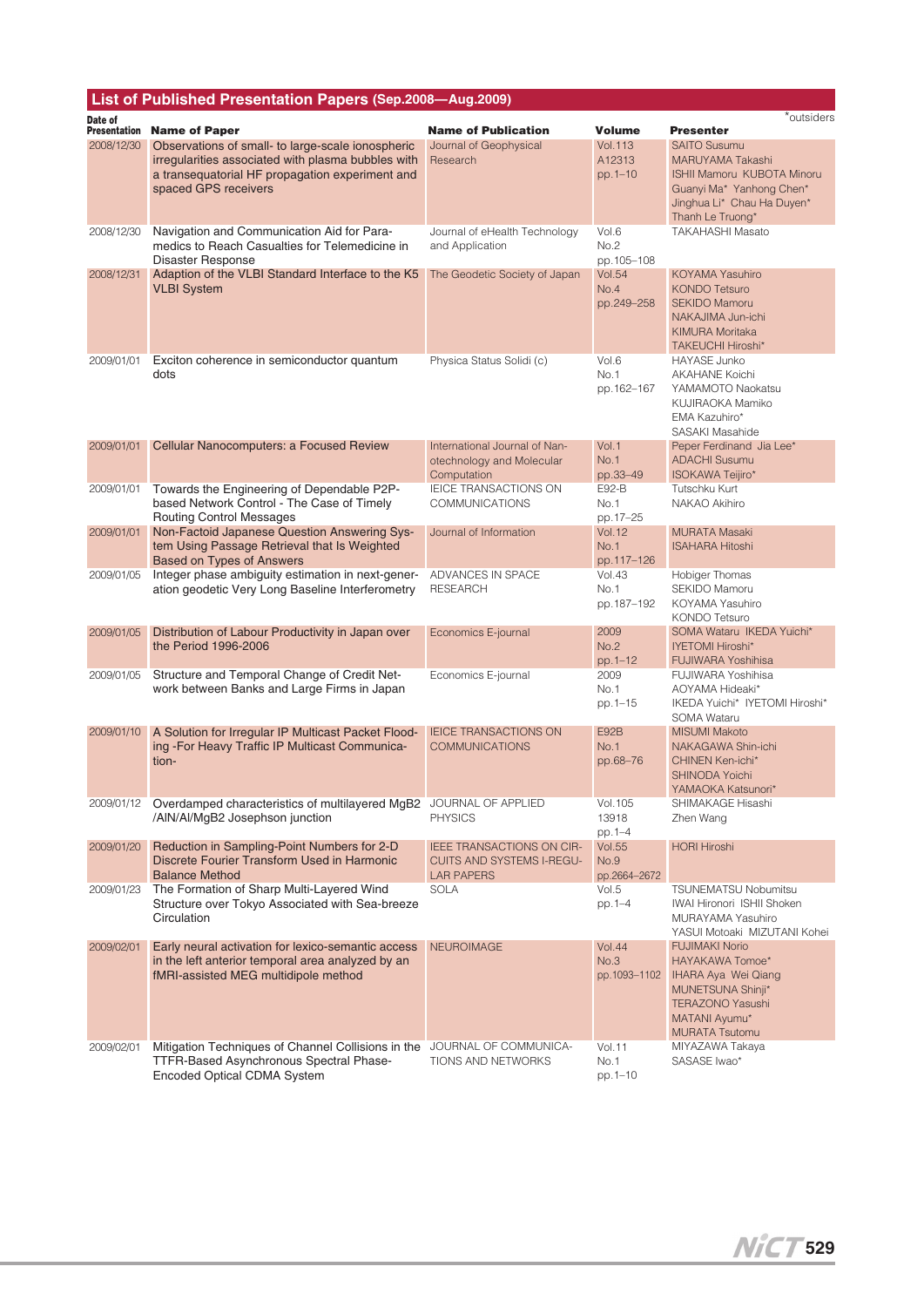|                                | List of Published Presentation Papers (Sep.2008-Aug.2009)                                                                                                                          |                                                                                    |                                            |                                                                                                                                                            |
|--------------------------------|------------------------------------------------------------------------------------------------------------------------------------------------------------------------------------|------------------------------------------------------------------------------------|--------------------------------------------|------------------------------------------------------------------------------------------------------------------------------------------------------------|
| Date of<br><b>Presentation</b> | <b>Name of Paper</b>                                                                                                                                                               | <b>Name of Publication</b>                                                         | <b>Volume</b>                              | *outsiders<br><b>Presenter</b>                                                                                                                             |
| 2008/12/30                     | Observations of small- to large-scale ionospheric<br>irregularities associated with plasma bubbles with<br>a transequatorial HF propagation experiment and<br>spaced GPS receivers | Journal of Geophysical<br>Research                                                 | <b>Vol.113</b><br>A12313<br>pp.1-10        | <b>SAITO Susumu</b><br>MARUYAMA Takashi<br><b>ISHII Mamoru KUBOTA Minoru</b><br>Guanyi Ma* Yanhong Chen*<br>Jinghua Li* Chau Ha Duyen*<br>Thanh Le Truong* |
| 2008/12/30                     | Navigation and Communication Aid for Para-<br>medics to Reach Casualties for Telemedicine in<br><b>Disaster Response</b>                                                           | Journal of eHealth Technology<br>and Application                                   | Vol.6<br>No.2<br>pp.105-108                | <b>TAKAHASHI Masato</b>                                                                                                                                    |
| 2008/12/31                     | Adaption of the VLBI Standard Interface to the K5<br><b>VLBI System</b>                                                                                                            | The Geodetic Society of Japan                                                      | <b>Vol.54</b><br>No.4<br>pp.249-258        | KOYAMA Yasuhiro<br><b>KONDO Tetsuro</b><br><b>SEKIDO Mamoru</b><br>NAKAJIMA Jun-ichi<br><b>KIMURA Moritaka</b><br>TAKEUCHI Hiroshi*                        |
| 2009/01/01                     | Exciton coherence in semiconductor quantum<br>dots                                                                                                                                 | Physica Status Solidi (c)                                                          | Vol.6<br>No.1<br>pp.162-167                | <b>HAYASE Junko</b><br><b>AKAHANE Koichi</b><br>YAMAMOTO Naokatsu<br>KUJIRAOKA Mamiko<br>EMA Kazuhiro*<br>SASAKI Masahide                                  |
| 2009/01/01                     | Cellular Nanocomputers: a Focused Review                                                                                                                                           | International Journal of Nan-<br>otechnology and Molecular<br>Computation          | Vol.1<br><b>No.1</b><br>pp.33-49           | Peper Ferdinand Jia Lee*<br><b>ADACHI Susumu</b><br>ISOKAWA Teijiro*                                                                                       |
| 2009/01/01                     | Towards the Engineering of Dependable P2P-<br>based Network Control - The Case of Timely<br><b>Routing Control Messages</b>                                                        | IEICE TRANSACTIONS ON<br><b>COMMUNICATIONS</b>                                     | E92-B<br>No.1<br>pp.17-25                  | Tutschku Kurt<br>NAKAO Akihiro                                                                                                                             |
| 2009/01/01                     | Non-Factoid Japanese Question Answering Sys-<br>tem Using Passage Retrieval that Is Weighted<br><b>Based on Types of Answers</b>                                                   | Journal of Information                                                             | <b>Vol.12</b><br><b>No.1</b><br>pp.117-126 | <b>MURATA Masaki</b><br><b>ISAHARA Hitoshi</b>                                                                                                             |
| 2009/01/05                     | Integer phase ambiguity estimation in next-gener-<br>ation geodetic Very Long Baseline Interferometry                                                                              | ADVANCES IN SPACE<br><b>RESEARCH</b>                                               | <b>Vol.43</b><br>No.1<br>pp.187-192        | Hobiger Thomas<br>SEKIDO Mamoru<br>KOYAMA Yasuhiro<br><b>KONDO Tetsuro</b>                                                                                 |
| 2009/01/05                     | Distribution of Labour Productivity in Japan over<br>the Period 1996-2006                                                                                                          | Economics E-journal                                                                | 2009<br>No.2<br>pp.1-12                    | SOMA Wataru IKEDA Yuichi*<br>IYETOMI Hiroshi*<br><b>FUJIWARA Yoshihisa</b>                                                                                 |
| 2009/01/05                     | Structure and Temporal Change of Credit Net-<br>work between Banks and Large Firms in Japan                                                                                        | Economics E-journal                                                                | 2009<br>No.1<br>pp.1-15                    | FUJIWARA Yoshihisa<br>AOYAMA Hideaki*<br>IKEDA Yuichi* IYETOMI Hiroshi*<br><b>SOMA Wataru</b>                                                              |
| 2009/01/10                     | A Solution for Irregular IP Multicast Packet Flood-<br>ing - For Heavy Traffic IP Multicast Communica-<br>tion-                                                                    | <b>IEICE TRANSACTIONS ON</b><br><b>COMMUNICATIONS</b>                              | <b>E92B</b><br><b>No.1</b><br>pp.68-76     | <b>MISUMI Makoto</b><br>NAKAGAWA Shin-ichi<br><b>CHINEN Ken-ichi*</b><br><b>SHINODA Yoichi</b><br>YAMAOKA Katsunori'                                       |
| 2009/01/12                     | Overdamped characteristics of multilayered MgB2 JOURNAL OF APPLIED<br>/AIN/AI/MgB2 Josephson junction                                                                              | <b>PHYSICS</b>                                                                     | Vol. 105<br>13918<br>pp.1-4                | SHIMAKAGE Hisashi<br>Zhen Wang                                                                                                                             |
| 2009/01/20                     | Reduction in Sampling-Point Numbers for 2-D<br>Discrete Fourier Transform Used in Harmonic<br><b>Balance Method</b>                                                                | IEEE TRANSACTIONS ON CIR-<br><b>CUITS AND SYSTEMS I-REGU-</b><br><b>LAR PAPERS</b> | <b>Vol.55</b><br>No.9<br>pp.2664-2672      | <b>HORI Hiroshi</b>                                                                                                                                        |
| 2009/01/23                     | The Formation of Sharp Multi-Layered Wind<br>Structure over Tokyo Associated with Sea-breeze<br>Circulation                                                                        | <b>SOLA</b>                                                                        | Vol.5<br>pp.1-4                            | TSUNEMATSU Nobumitsu<br>IWAI Hironori ISHII Shoken<br>MURAYAMA Yasuhiro<br>YASUI Motoaki MIZUTANI Kohei                                                    |
| 2009/02/01                     | Early neural activation for lexico-semantic access<br>in the left anterior temporal area analyzed by an<br>fMRI-assisted MEG multidipole method                                    | <b>NEUROIMAGE</b>                                                                  | <b>Vol.44</b><br>No.3<br>pp.1093-1102      | <b>FUJIMAKI Norio</b><br>HAYAKAWA Tomoe*<br>IHARA Aya Wei Qiang<br>MUNETSUNA Shinji*<br>TERAZONO Yasushi<br>MATANI Ayumu*<br><b>MURATA Tsutomu</b>         |
| 2009/02/01                     | Mitigation Techniques of Channel Collisions in the<br>TTFR-Based Asynchronous Spectral Phase-<br>Encoded Optical CDMA System                                                       | JOURNAL OF COMMUNICA-<br>TIONS AND NETWORKS                                        | <b>Vol.11</b><br>No.1<br>pp.1-10           | MIYAZAWA Takaya<br>SASASE Iwao*                                                                                                                            |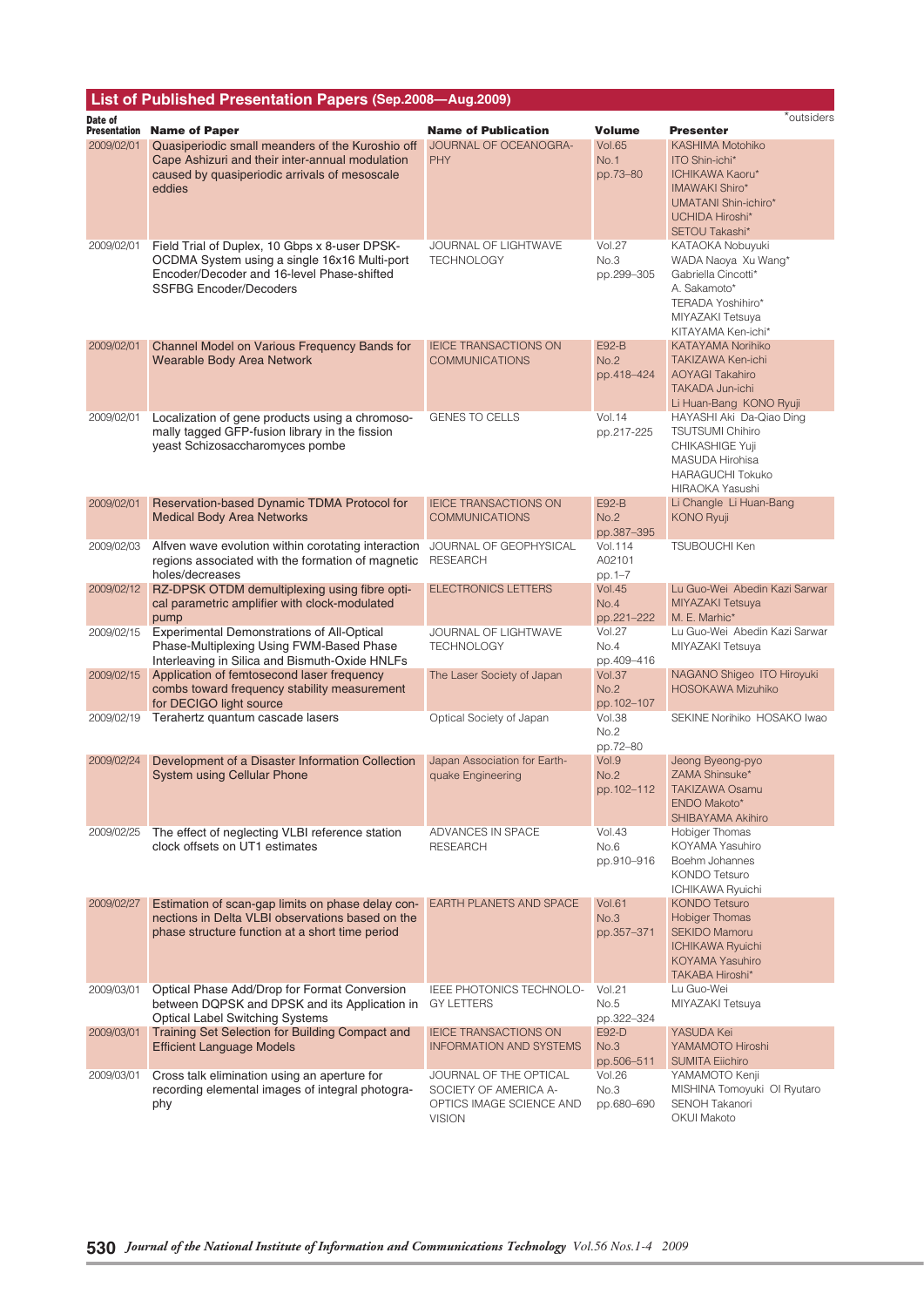| List of Published Presentation Papers (Sep.2008-Aug.2009) |                                                                                                                                                                              |                                                                                              |                                     |                                                                                                                                               |
|-----------------------------------------------------------|------------------------------------------------------------------------------------------------------------------------------------------------------------------------------|----------------------------------------------------------------------------------------------|-------------------------------------|-----------------------------------------------------------------------------------------------------------------------------------------------|
| Date of                                                   |                                                                                                                                                                              |                                                                                              |                                     | *outsiders                                                                                                                                    |
| <b>Presentation</b><br>2009/02/01                         | <b>Name of Paper</b><br>Quasiperiodic small meanders of the Kuroshio off                                                                                                     | <b>Name of Publication</b><br>JOURNAL OF OCEANOGRA-                                          | Volume<br><b>Vol.65</b>             | <b>Presenter</b><br>KASHIMA Motohiko                                                                                                          |
|                                                           | Cape Ashizuri and their inter-annual modulation<br>caused by quasiperiodic arrivals of mesoscale<br>eddies                                                                   | <b>PHY</b>                                                                                   | No.1<br>pp.73-80                    | ITO Shin-ichi*<br>ICHIKAWA Kaoru*<br><b>IMAWAKI Shiro*</b><br>UMATANI Shin-ichiro*<br><b>UCHIDA Hiroshi*</b><br>SETOU Takashi*                |
| 2009/02/01                                                | Field Trial of Duplex, 10 Gbps x 8-user DPSK-<br>OCDMA System using a single 16x16 Multi-port<br>Encoder/Decoder and 16-level Phase-shifted<br><b>SSFBG Encoder/Decoders</b> | JOURNAL OF LIGHTWAVE<br><b>TECHNOLOGY</b>                                                    | <b>Vol.27</b><br>No.3<br>pp.299-305 | KATAOKA Nobuyuki<br>WADA Naoya Xu Wang*<br>Gabriella Cincotti*<br>A. Sakamoto*<br>TERADA Yoshihiro*<br>MIYAZAKI Tetsuya<br>KITAYAMA Ken-ichi* |
| 2009/02/01                                                | Channel Model on Various Frequency Bands for<br><b>Wearable Body Area Network</b>                                                                                            | <b>IEICE TRANSACTIONS ON</b><br><b>COMMUNICATIONS</b>                                        | E92-B<br>No.2<br>pp.418-424         | <b>KATAYAMA Norihiko</b><br>TAKIZAWA Ken-ichi<br><b>AOYAGI Takahiro</b><br><b>TAKADA Jun-ichi</b><br>Li Huan-Bang KONO Ryuji                  |
| 2009/02/01                                                | Localization of gene products using a chromoso-<br>mally tagged GFP-fusion library in the fission<br>yeast Schizosaccharomyces pombe                                         | <b>GENES TO CELLS</b>                                                                        | Vol.14<br>pp.217-225                | HAYASHI Aki Da-Qiao Ding<br><b>TSUTSUMI Chihiro</b><br>CHIKASHIGE Yuji<br>MASUDA Hirohisa<br><b>HARAGUCHI Tokuko</b><br>HIRAOKA Yasushi       |
| 2009/02/01                                                | Reservation-based Dynamic TDMA Protocol for<br><b>Medical Body Area Networks</b>                                                                                             | <b>IEICE TRANSACTIONS ON</b><br><b>COMMUNICATIONS</b>                                        | <b>E92-B</b><br>No.2<br>pp.387-395  | Li Changle Li Huan-Bang<br><b>KONO Ryuji</b>                                                                                                  |
| 2009/02/03                                                | Alfven wave evolution within corotating interaction<br>regions associated with the formation of magnetic<br>holes/decreases                                                  | JOURNAL OF GEOPHYSICAL<br><b>RESEARCH</b>                                                    | Vol.114<br>A02101<br>pp. 1-7        | <b>TSUBOUCHI Ken</b>                                                                                                                          |
| 2009/02/12                                                | RZ-DPSK OTDM demultiplexing using fibre opti-<br>cal parametric amplifier with clock-modulated<br>pump                                                                       | <b>ELECTRONICS LETTERS</b>                                                                   | <b>Vol.45</b><br>No.4<br>pp.221-222 | Lu Guo-Wei Abedin Kazi Sarwar<br>MIYAZAKI Tetsuya<br>M. E. Marhic*                                                                            |
| 2009/02/15                                                | Experimental Demonstrations of All-Optical<br>Phase-Multiplexing Using FWM-Based Phase<br>Interleaving in Silica and Bismuth-Oxide HNLFs                                     | JOURNAL OF LIGHTWAVE<br><b>TECHNOLOGY</b>                                                    | <b>Vol.27</b><br>No.4<br>pp.409-416 | Lu Guo-Wei Abedin Kazi Sarwar<br>MIYAZAKI Tetsuya                                                                                             |
| 2009/02/15                                                | Application of femtosecond laser frequency<br>combs toward frequency stability measurement<br>for DECIGO light source                                                        | The Laser Society of Japan                                                                   | <b>Vol.37</b><br>No.2<br>pp.102-107 | NAGANO Shigeo ITO Hiroyuki<br><b>HOSOKAWA Mizuhiko</b>                                                                                        |
| 2009/02/19                                                | Terahertz quantum cascade lasers                                                                                                                                             | Optical Society of Japan                                                                     | Vol.38<br>No.2<br>pp.72-80          | SEKINE Norihiko HOSAKO Iwao                                                                                                                   |
| 2009/02/24                                                | Development of a Disaster Information Collection<br><b>System using Cellular Phone</b>                                                                                       | Japan Association for Earth-<br>quake Engineering                                            | Vol.9<br>No.2<br>pp.102-112         | Jeong Byeong-pyo<br>ZAMA Shinsuke*<br><b>TAKIZAWA Osamu</b><br>ENDO Makoto*<br>SHIBAYAMA Akihiro                                              |
| 2009/02/25                                                | The effect of neglecting VLBI reference station<br>clock offsets on UT1 estimates                                                                                            | ADVANCES IN SPACE<br><b>RESEARCH</b>                                                         | <b>Vol.43</b><br>No.6<br>pp.910-916 | Hobiger Thomas<br>KOYAMA Yasuhiro<br>Boehm Johannes<br>KONDO Tetsuro<br><b>ICHIKAWA Ryuichi</b>                                               |
| 2009/02/27                                                | Estimation of scan-gap limits on phase delay con-<br>nections in Delta VLBI observations based on the<br>phase structure function at a short time period                     | EARTH PLANETS AND SPACE                                                                      | <b>Vol.61</b><br>No.3<br>pp.357-371 | <b>KONDO Tetsuro</b><br><b>Hobiger Thomas</b><br><b>SEKIDO Mamoru</b><br><b>ICHIKAWA Ryuichi</b><br>KOYAMA Yasuhiro<br>TAKABA Hiroshi*        |
| 2009/03/01                                                | Optical Phase Add/Drop for Format Conversion<br>between DQPSK and DPSK and its Application in<br><b>Optical Label Switching Systems</b>                                      | IEEE PHOTONICS TECHNOLO-<br><b>GY LETTERS</b>                                                | <b>Vol.21</b><br>No.5<br>pp.322-324 | Lu Guo-Wei<br>MIYAZAKI Tetsuya                                                                                                                |
| 2009/03/01                                                | Training Set Selection for Building Compact and<br><b>Efficient Language Models</b>                                                                                          | <b>IEICE TRANSACTIONS ON</b><br><b>INFORMATION AND SYSTEMS</b>                               | E92-D<br>No.3<br>pp.506-511         | YASUDA Kei<br>YAMAMOTO Hiroshi<br><b>SUMITA Elichiro</b>                                                                                      |
| 2009/03/01                                                | Cross talk elimination using an aperture for<br>recording elemental images of integral photogra-<br>phy                                                                      | JOURNAL OF THE OPTICAL<br>SOCIETY OF AMERICA A-<br>OPTICS IMAGE SCIENCE AND<br><b>VISION</b> | <b>Vol.26</b><br>No.3<br>pp.680-690 | YAMAMOTO Kenji<br>MISHINA Tomoyuki OI Ryutaro<br>SENOH Takanori<br><b>OKUI Makoto</b>                                                         |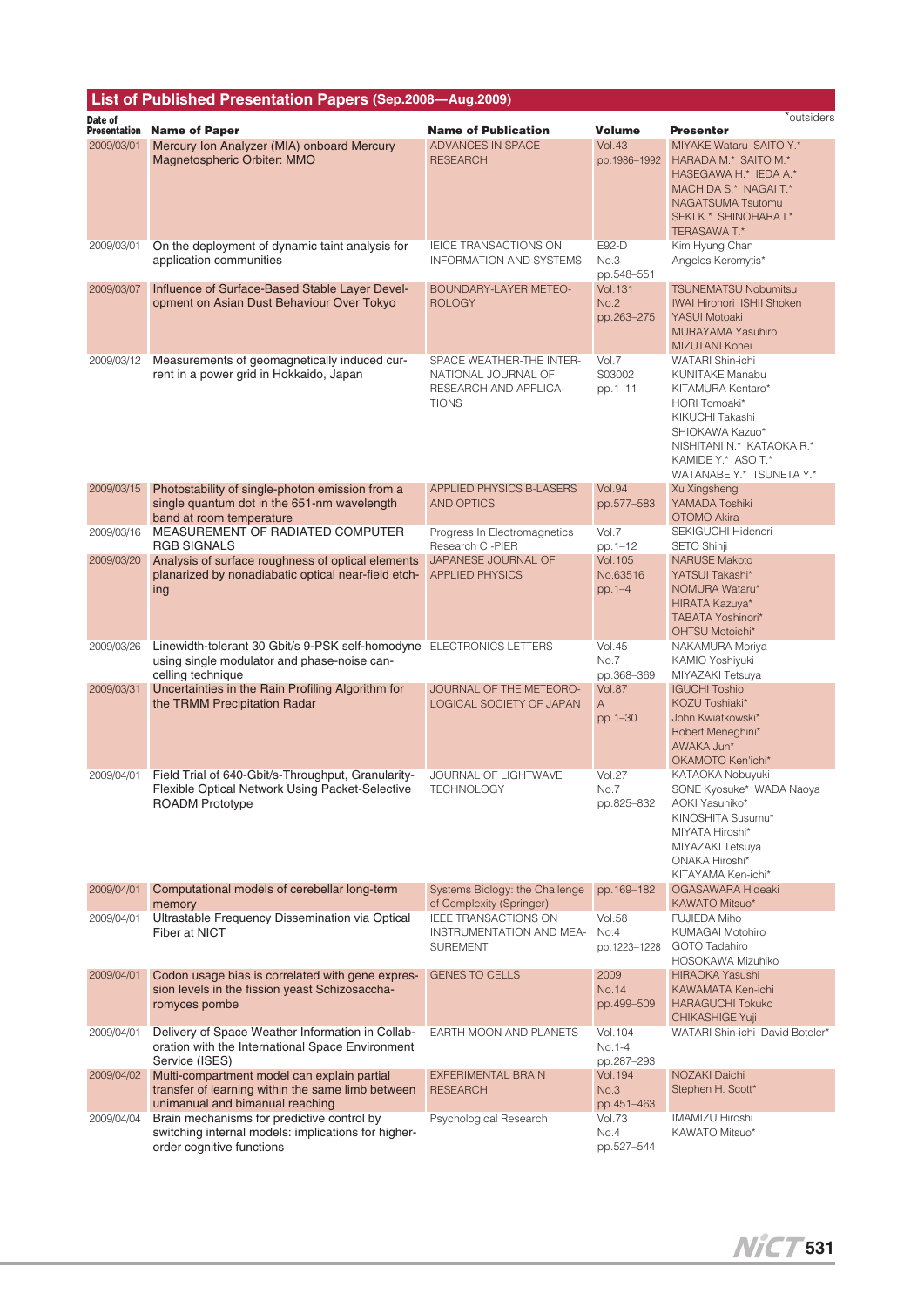| List of Published Presentation Papers (Sep.2008-Aug.2009) |                                                                                                                                          |                                                                                          |                                       |                                                                                                                                                                                                       |  |
|-----------------------------------------------------------|------------------------------------------------------------------------------------------------------------------------------------------|------------------------------------------------------------------------------------------|---------------------------------------|-------------------------------------------------------------------------------------------------------------------------------------------------------------------------------------------------------|--|
| Date of<br>Presentation                                   | <b>Name of Paper</b>                                                                                                                     | <b>Name of Publication</b>                                                               | <b>Volume</b>                         | *outsiders<br><b>Presenter</b>                                                                                                                                                                        |  |
| 2009/03/01                                                | Mercury Ion Analyzer (MIA) onboard Mercury<br>Magnetospheric Orbiter: MMO                                                                | ADVANCES IN SPACE<br><b>RESEARCH</b>                                                     | <b>Vol.43</b><br>pp.1986-1992         | MIYAKE Wataru SAITO Y.*<br>HARADA M.* SAITO M.*<br>HASEGAWA H.* IEDA A.*<br>MACHIDA S.* NAGAI T.*<br><b>NAGATSUMA Tsutomu</b><br>SEKI K.* SHINOHARA I.*<br><b>TERASAWA T.*</b>                        |  |
| 2009/03/01                                                | On the deployment of dynamic taint analysis for<br>application communities                                                               | <b>IEICE TRANSACTIONS ON</b><br><b>INFORMATION AND SYSTEMS</b>                           | E92-D<br>No.3<br>pp.548-551           | Kim Hyung Chan<br>Angelos Keromytis*                                                                                                                                                                  |  |
| 2009/03/07                                                | Influence of Surface-Based Stable Layer Devel-<br>opment on Asian Dust Behaviour Over Tokyo                                              | BOUNDARY-LAYER METEO-<br><b>ROLOGY</b>                                                   | <b>Vol.131</b><br>No.2<br>pp.263-275  | <b>TSUNEMATSU Nobumitsu</b><br><b>IWAI Hironori ISHII Shoken</b><br>YASUI Motoaki<br><b>MURAYAMA Yasuhiro</b><br>MIZUTANI Kohei                                                                       |  |
| 2009/03/12                                                | Measurements of geomagnetically induced cur-<br>rent in a power grid in Hokkaido, Japan                                                  | SPACE WEATHER-THE INTER-<br>NATIONAL JOURNAL OF<br>RESEARCH AND APPLICA-<br><b>TIONS</b> | Vol.7<br>S03002<br>pp.1-11            | WATARI Shin-ichi<br><b>KUNITAKE Manabu</b><br>KITAMURA Kentaro*<br>HORI Tomoaki*<br>KIKUCHI Takashi<br>SHIOKAWA Kazuo*<br>NISHITANI N.* KATAOKA R.*<br>KAMIDE Y.* ASO T.*<br>WATANABE Y.* TSUNETA Y.* |  |
| 2009/03/15                                                | Photostability of single-photon emission from a<br>single quantum dot in the 651-nm wavelength<br>band at room temperature               | <b>APPLIED PHYSICS B-LASERS</b><br><b>AND OPTICS</b>                                     | <b>Vol.94</b><br>pp.577-583           | Xu Xingsheng<br>YAMADA Toshiki<br>OTOMO Akira                                                                                                                                                         |  |
| 2009/03/16                                                | MEASUREMENT OF RADIATED COMPUTER<br><b>RGB SIGNALS</b>                                                                                   | Progress In Electromagnetics<br>Research C -PIER                                         | Vol.7<br>pp.1-12                      | SEKIGUCHI Hidenori<br>SETO Shinji                                                                                                                                                                     |  |
| 2009/03/20                                                | Analysis of surface roughness of optical elements<br>planarized by nonadiabatic optical near-field etch-<br>ing                          | JAPANESE JOURNAL OF<br><b>APPLIED PHYSICS</b>                                            | <b>Vol.105</b><br>No.63516<br>pp.1-4  | <b>NARUSE Makoto</b><br>YATSUI Takashi*<br>NOMURA Wataru*<br>HIRATA Kazuya*<br>TABATA Yoshinori*<br><b>OHTSU Motoichi*</b>                                                                            |  |
| 2009/03/26                                                | Linewidth-tolerant 30 Gbit/s 9-PSK self-homodyne ELECTRONICS LETTERS<br>using single modulator and phase-noise can-<br>celling technique |                                                                                          | <b>Vol.45</b><br>No.7<br>pp.368-369   | NAKAMURA Moriya<br>KAMIO Yoshiyuki<br>MIYAZAKI Tetsuya                                                                                                                                                |  |
| 2009/03/31                                                | Uncertainties in the Rain Profiling Algorithm for<br>the TRMM Precipitation Radar                                                        | JOURNAL OF THE METEORO-<br>LOGICAL SOCIETY OF JAPAN                                      | <b>Vol.87</b><br>A<br>pp.1-30         | <b>IGUCHI Toshio</b><br>KOZU Toshiaki*<br>John Kwiatkowski*<br>Robert Meneghini*<br>AWAKA Jun*<br>OKAMOTO Ken'ichi*                                                                                   |  |
| 2009/04/01                                                | Field Trial of 640-Gbit/s-Throughput, Granularity-<br>Flexible Optical Network Using Packet-Selective<br><b>ROADM Prototype</b>          | <b>JOURNAL OF LIGHTWAVE</b><br>TECHNOLOGY                                                | <b>Vol.27</b><br>No.7<br>pp.825-832   | KATAOKA Nobuyuki<br>SONE Kyosuke* WADA Naoya<br>AOKI Yasuhiko*<br>KINOSHITA Susumu*<br>MIYATA Hiroshi*<br>MIYAZAKI Tetsuya<br><b>ONAKA Hiroshi*</b><br>KITAYAMA Ken-ichi*                             |  |
| 2009/04/01                                                | Computational models of cerebellar long-term<br>memory                                                                                   | Systems Biology: the Challenge<br>of Complexity (Springer)                               | pp.169-182                            | OGASAWARA Hideaki<br>KAWATO Mitsuo*                                                                                                                                                                   |  |
| 2009/04/01                                                | Ultrastable Frequency Dissemination via Optical<br>Fiber at NICT                                                                         | <b>IEEE TRANSACTIONS ON</b><br>INSTRUMENTATION AND MEA-<br><b>SUREMENT</b>               | <b>Vol.58</b><br>No.4<br>pp.1223-1228 | <b>FUJIEDA Miho</b><br>KUMAGAI Motohiro<br><b>GOTO Tadahiro</b><br>HOSOKAWA Mizuhiko                                                                                                                  |  |
| 2009/04/01                                                | Codon usage bias is correlated with gene expres-<br>sion levels in the fission yeast Schizosaccha-<br>romyces pombe                      | <b>GENES TO CELLS</b>                                                                    | 2009<br><b>No.14</b><br>pp.499-509    | HIRAOKA Yasushi<br>KAWAMATA Ken-ichi<br><b>HARAGUCHI Tokuko</b><br>CHIKASHIGE Yuji                                                                                                                    |  |
| 2009/04/01                                                | Delivery of Space Weather Information in Collab-<br>oration with the International Space Environment<br>Service (ISES)                   | EARTH MOON AND PLANETS                                                                   | Vol. 104<br>No.1-4<br>pp.287-293      | WATARI Shin-ichi David Boteler*                                                                                                                                                                       |  |
| 2009/04/02                                                | Multi-compartment model can explain partial<br>transfer of learning within the same limb between<br>unimanual and bimanual reaching      | <b>EXPERIMENTAL BRAIN</b><br><b>RESEARCH</b>                                             | <b>Vol.194</b><br>No.3<br>pp.451-463  | NOZAKI Daichi<br>Stephen H. Scott*                                                                                                                                                                    |  |
| 2009/04/04                                                | Brain mechanisms for predictive control by<br>switching internal models: implications for higher-<br>order cognitive functions           | Psychological Research                                                                   | Vol.73<br>No.4<br>pp.527-544          | IMAMIZU Hiroshi<br>KAWATO Mitsuo*                                                                                                                                                                     |  |

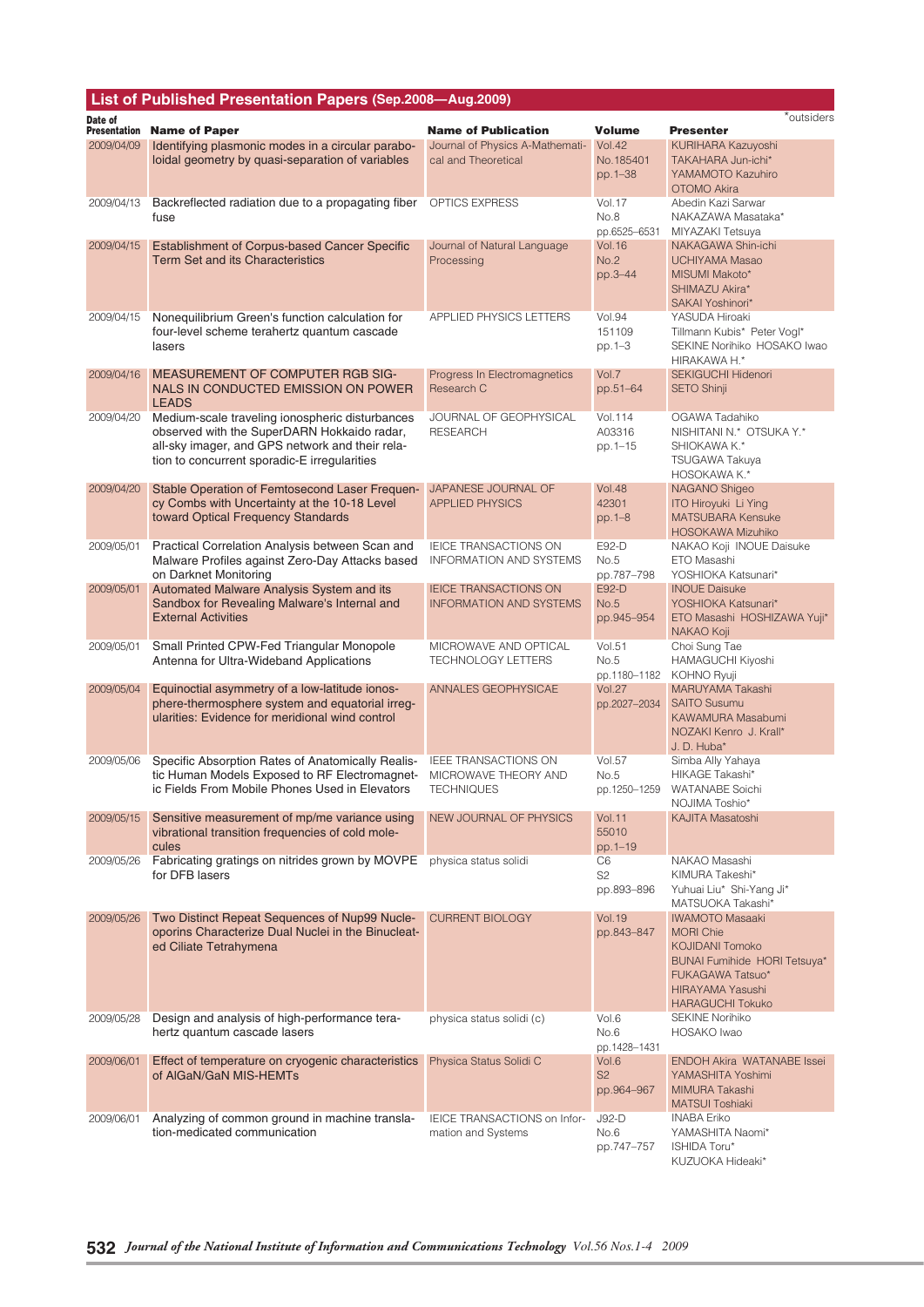|                                | List of Published Presentation Papers (Sep.2008-Aug.2009)                                                                                                                                         |                                                                          |                                       |                                                                                                                                                                                |
|--------------------------------|---------------------------------------------------------------------------------------------------------------------------------------------------------------------------------------------------|--------------------------------------------------------------------------|---------------------------------------|--------------------------------------------------------------------------------------------------------------------------------------------------------------------------------|
| Date of<br><b>Presentation</b> | <b>Name of Paper</b>                                                                                                                                                                              | <b>Name of Publication</b>                                               | <b>Volume</b>                         | *outsiders<br><b>Presenter</b>                                                                                                                                                 |
| 2009/04/09                     | Identifying plasmonic modes in a circular parabo-                                                                                                                                                 | Journal of Physics A-Mathemati-                                          | <b>Vol.42</b>                         | KURIHARA Kazuyoshi                                                                                                                                                             |
|                                | loidal geometry by quasi-separation of variables                                                                                                                                                  | cal and Theoretical                                                      | No.185401<br>pp.1-38                  | TAKAHARA Jun-ichi*<br>YAMAMOTO Kazuhiro<br>OTOMO Akira                                                                                                                         |
| 2009/04/13                     | Backreflected radiation due to a propagating fiber<br>fuse                                                                                                                                        | OPTICS EXPRESS                                                           | Vol.17<br>No.8<br>pp.6525-6531        | Abedin Kazi Sarwar<br>NAKAZAWA Masataka*<br>MIYAZAKI Tetsuya                                                                                                                   |
| 2009/04/15                     | Establishment of Corpus-based Cancer Specific<br><b>Term Set and its Characteristics</b>                                                                                                          | Journal of Natural Language<br>Processing                                | <b>Vol.16</b><br>No.2<br>pp.3-44      | NAKAGAWA Shin-ichi<br>UCHIYAMA Masao<br>MISUMI Makoto*<br>SHIMAZU Akira*<br>SAKAI Yoshinori*                                                                                   |
| 2009/04/15                     | Nonequilibrium Green's function calculation for<br>four-level scheme terahertz quantum cascade<br>lasers                                                                                          | APPLIED PHYSICS LETTERS                                                  | <b>Vol.94</b><br>151109<br>pp. 1-3    | YASUDA Hiroaki<br>Tillmann Kubis* Peter Vogl*<br>SEKINE Norihiko HOSAKO Iwao<br>HIRAKAWA H.*                                                                                   |
| 2009/04/16                     | <b>MEASUREMENT OF COMPUTER RGB SIG-</b><br>NALS IN CONDUCTED EMISSION ON POWER<br><b>LEADS</b>                                                                                                    | Progress In Electromagnetics<br>Research C                               | Vol.7<br>pp.51-64                     | <b>SEKIGUCHI Hidenori</b><br>SETO Shinji                                                                                                                                       |
| 2009/04/20                     | Medium-scale traveling ionospheric disturbances<br>observed with the SuperDARN Hokkaido radar,<br>all-sky imager, and GPS network and their rela-<br>tion to concurrent sporadic-E irregularities | JOURNAL OF GEOPHYSICAL<br><b>RESEARCH</b>                                | Vol.114<br>A03316<br>pp.1-15          | OGAWA Tadahiko<br>NISHITANI N.* OTSUKA Y.*<br>SHIOKAWA K.*<br>TSUGAWA Takuya<br>HOSOKAWA K.*                                                                                   |
| 2009/04/20                     | Stable Operation of Femtosecond Laser Frequen-<br>cy Combs with Uncertainty at the 10-18 Level<br>toward Optical Frequency Standards                                                              | JAPANESE JOURNAL OF<br><b>APPLIED PHYSICS</b>                            | <b>Vol.48</b><br>42301<br>$pp.1 - 8$  | NAGANO Shigeo<br><b>ITO Hiroyuki Li Ying</b><br><b>MATSUBARA Kensuke</b><br><b>HOSOKAWA Mizuhiko</b>                                                                           |
| 2009/05/01                     | Practical Correlation Analysis between Scan and<br>Malware Profiles against Zero-Day Attacks based<br>on Darknet Monitoring                                                                       | <b>IEICE TRANSACTIONS ON</b><br>INFORMATION AND SYSTEMS                  | E92-D<br>No.5<br>pp.787-798           | NAKAO Koji INOUE Daisuke<br>ETO Masashi<br>YOSHIOKA Katsunari*                                                                                                                 |
| 2009/05/01                     | Automated Malware Analysis System and its<br>Sandbox for Revealing Malware's Internal and<br><b>External Activities</b>                                                                           | <b>IEICE TRANSACTIONS ON</b><br><b>INFORMATION AND SYSTEMS</b>           | E92-D<br>No.5<br>pp.945-954           | <b>INOUE Daisuke</b><br>YOSHIOKA Katsunari*<br>ETO Masashi HOSHIZAWA Yuji*<br>NAKAO Koji                                                                                       |
| 2009/05/01                     | Small Printed CPW-Fed Triangular Monopole<br>Antenna for Ultra-Wideband Applications                                                                                                              | MICROWAVE AND OPTICAL<br><b>TECHNOLOGY LETTERS</b>                       | <b>Vol.51</b><br>No.5<br>pp.1180-1182 | Choi Sung Tae<br>HAMAGUCHI Kiyoshi<br>KOHNO Ryuji                                                                                                                              |
| 2009/05/04                     | Equinoctial asymmetry of a low-latitude ionos-<br>phere-thermosphere system and equatorial irreg-<br>ularities: Evidence for meridional wind control                                              | ANNALES GEOPHYSICAE                                                      | <b>Vol.27</b><br>pp.2027-2034         | MARUYAMA Takashi<br><b>SAITO Susumu</b><br><b>KAWAMURA Masabumi</b><br>NOZAKI Kenro J. Krall*<br>J. D. Huba*                                                                   |
| 2009/05/06                     | Specific Absorption Rates of Anatomically Realis-<br>tic Human Models Exposed to RF Electromagnet-<br>ic Fields From Mobile Phones Used in Elevators                                              | <b>IEEE TRANSACTIONS ON</b><br>MICROWAVE THEORY AND<br><b>TECHNIQUES</b> | <b>Vol.57</b><br>No.5<br>pp.1250–1259 | Simba Ally Yahaya<br><b>HIKAGE Takashi*</b><br>WATANABE Soichi<br>NOJIMA Toshio*                                                                                               |
| 2009/05/15                     | Sensitive measurement of mp/me variance using<br>vibrational transition frequencies of cold mole-<br>cules                                                                                        | NEW JOURNAL OF PHYSICS                                                   | <b>Vol.11</b><br>55010<br>pp.1-19     | <b>KAJITA Masatoshi</b>                                                                                                                                                        |
| 2009/05/26                     | Fabricating gratings on nitrides grown by MOVPE<br>for DFB lasers                                                                                                                                 | physica status solidi                                                    | C6<br>S <sub>2</sub><br>pp.893-896    | NAKAO Masashi<br>KIMURA Takeshi*<br>Yuhuai Liu* Shi-Yang Ji*<br>MATSUOKA Takashi*                                                                                              |
| 2009/05/26                     | Two Distinct Repeat Sequences of Nup99 Nucle-<br>oporins Characterize Dual Nuclei in the Binucleat-<br>ed Ciliate Tetrahymena                                                                     | <b>CURRENT BIOLOGY</b>                                                   | <b>Vol. 19</b><br>pp.843-847          | <b>IWAMOTO Masaaki</b><br><b>MORI Chie</b><br><b>KOJIDANI Tomoko</b><br><b>BUNAI Fumihide HORI Tetsuya*</b><br>FUKAGAWA Tatsuo*<br>HIRAYAMA Yasushi<br><b>HARAGUCHI Tokuko</b> |
| 2009/05/28                     | Design and analysis of high-performance tera-<br>hertz quantum cascade lasers                                                                                                                     | physica status solidi (c)                                                | Vol.6<br>No.6<br>pp.1428-1431         | <b>SEKINE Norihiko</b><br>HOSAKO Iwao                                                                                                                                          |
| 2009/06/01                     | Effect of temperature on cryogenic characteristics<br>of AlGaN/GaN MIS-HEMTs                                                                                                                      | Physica Status Solidi C                                                  | Vol.6<br>S <sub>2</sub><br>pp.964-967 | <b>ENDOH Akira WATANABE Issei</b><br>YAMASHITA Yoshimi<br>MIMURA Takashi<br><b>MATSUI Toshiaki</b>                                                                             |
| 2009/06/01                     | Analyzing of common ground in machine transla-<br>tion-medicated communication                                                                                                                    | IEICE TRANSACTIONS on Infor-<br>mation and Systems                       | $J92-D$<br>No.6<br>pp.747-757         | <b>INABA Eriko</b><br>YAMASHITA Naomi*<br>ISHIDA Toru*<br>KUZUOKA Hideaki*                                                                                                     |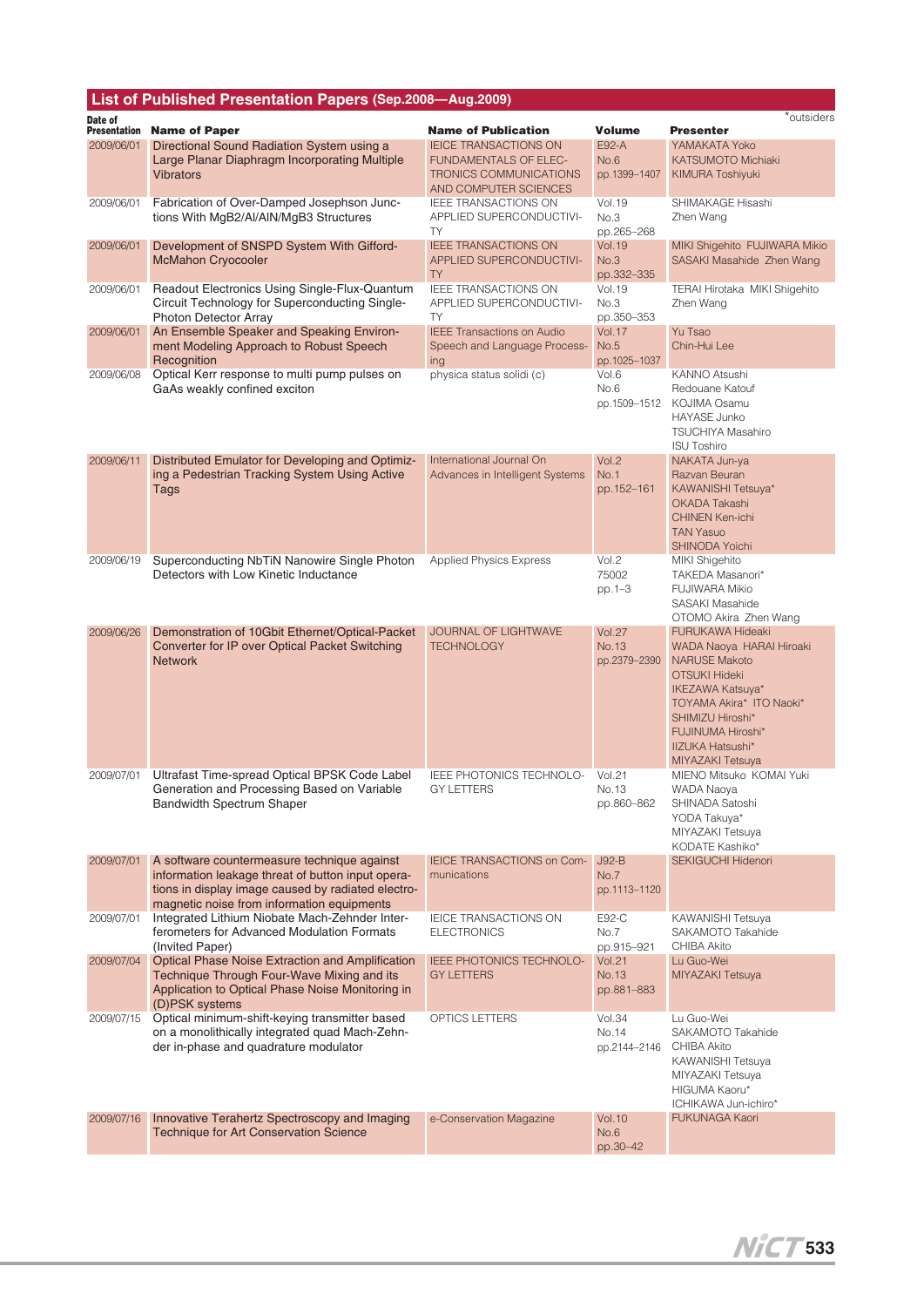| List of Published Presentation Papers (Sep.2008-Aug.2009) |                                                                                                                                                                                                      |                                                                                 |                                        |                                                                                                                                                                                                                                             |
|-----------------------------------------------------------|------------------------------------------------------------------------------------------------------------------------------------------------------------------------------------------------------|---------------------------------------------------------------------------------|----------------------------------------|---------------------------------------------------------------------------------------------------------------------------------------------------------------------------------------------------------------------------------------------|
| Date of<br><b>Presentation</b>                            | <b>Name of Paper</b>                                                                                                                                                                                 | <b>Name of Publication</b>                                                      | <b>Volume</b>                          | *outsiders<br><b>Presenter</b>                                                                                                                                                                                                              |
| 2009/06/01                                                | Directional Sound Radiation System using a                                                                                                                                                           | <b>IEICE TRANSACTIONS ON</b>                                                    | E92-A                                  | YAMAKATA Yoko                                                                                                                                                                                                                               |
|                                                           | Large Planar Diaphragm Incorporating Multiple<br><b>Vibrators</b>                                                                                                                                    | <b>FUNDAMENTALS OF ELEC-</b><br>TRONICS COMMUNICATIONS<br>AND COMPUTER SCIENCES | No.6<br>pp.1399-1407                   | <b>KATSUMOTO Michiaki</b><br><b>KIMURA Toshiyuki</b>                                                                                                                                                                                        |
| 2009/06/01                                                | Fabrication of Over-Damped Josephson Junc-<br>tions With MgB2/Al/AIN/MgB3 Structures                                                                                                                 | IEEE TRANSACTIONS ON<br>APPLIED SUPERCONDUCTIVI-<br><b>TY</b>                   | <b>Vol.19</b><br>No.3<br>pp.265-268    | SHIMAKAGE Hisashi<br>Zhen Wang                                                                                                                                                                                                              |
| 2009/06/01                                                | Development of SNSPD System With Gifford-<br><b>McMahon Cryocooler</b>                                                                                                                               | <b>IEEE TRANSACTIONS ON</b><br>APPLIED SUPERCONDUCTIVI-<br><b>TY</b>            | <b>Vol.19</b><br>No.3<br>pp.332-335    | MIKI Shigehito FUJIWARA Mikio<br>SASAKI Masahide Zhen Wang                                                                                                                                                                                  |
| 2009/06/01                                                | Readout Electronics Using Single-Flux-Quantum<br>Circuit Technology for Superconducting Single-<br><b>Photon Detector Array</b>                                                                      | IEEE TRANSACTIONS ON<br>APPLIED SUPERCONDUCTIVI-<br>TY                          | <b>Vol.19</b><br>No.3<br>pp.350-353    | TERAI Hirotaka MIKI Shigehito<br>Zhen Wang                                                                                                                                                                                                  |
| 2009/06/01                                                | An Ensemble Speaker and Speaking Environ-<br>ment Modeling Approach to Robust Speech<br>Recognition                                                                                                  | <b>IEEE Transactions on Audio</b><br>Speech and Language Process-<br>ing        | Vol.17<br>No.5<br>pp.1025-1037         | Yu Tsao<br>Chin-Hui Lee                                                                                                                                                                                                                     |
| 2009/06/08                                                | Optical Kerr response to multi pump pulses on<br>GaAs weakly confined exciton                                                                                                                        | physica status solidi (c)                                                       | Vol.6<br>No.6<br>pp.1509-1512          | KANNO Atsushi<br>Redouane Katouf<br>KOJIMA Osamu<br><b>HAYASE Junko</b><br><b>TSUCHIYA Masahiro</b><br><b>ISU Toshiro</b>                                                                                                                   |
| 2009/06/11                                                | Distributed Emulator for Developing and Optimiz-<br>ing a Pedestrian Tracking System Using Active<br>Tags                                                                                            | International Journal On<br>Advances in Intelligent Systems                     | Vol.2<br>No.1<br>pp.152-161            | NAKATA Jun-ya<br>Razvan Beuran<br>KAWANISHI Tetsuya*<br><b>OKADA Takashi</b><br><b>CHINEN Ken-ichi</b><br><b>TAN Yasuo</b><br><b>SHINODA Yoichi</b>                                                                                         |
| 2009/06/19                                                | Superconducting NbTiN Nanowire Single Photon<br>Detectors with Low Kinetic Inductance                                                                                                                | <b>Applied Physics Express</b>                                                  | Vol.2<br>75002<br>pp.1-3               | MIKI Shigehito<br>TAKEDA Masanori*<br><b>FUJIWARA Mikio</b><br>SASAKI Masahide<br>OTOMO Akira Zhen Wang                                                                                                                                     |
| 2009/06/26                                                | Demonstration of 10Gbit Ethernet/Optical-Packet<br>Converter for IP over Optical Packet Switching<br><b>Network</b>                                                                                  | <b>JOURNAL OF LIGHTWAVE</b><br><b>TECHNOLOGY</b>                                | <b>Vol.27</b><br>No.13<br>pp.2379-2390 | <b>FURUKAWA Hideaki</b><br>WADA Naoya HARAI Hiroaki<br><b>NARUSE Makoto</b><br><b>OTSUKI Hideki</b><br>IKEZAWA Katsuya*<br>TOYAMA Akira* ITO Naoki*<br>SHIMIZU Hiroshi*<br><b>FUJINUMA Hiroshi*</b><br>IIZUKA Hatsushi*<br>MIYAZAKI Tetsuya |
|                                                           | 2009/07/01 Ultrafast Time-spread Optical BPSK Code Label<br>Generation and Processing Based on Variable<br><b>Bandwidth Spectrum Shaper</b>                                                          | IEEE PHOTONICS TECHNOLO- Vol.21<br><b>GY LETTERS</b>                            | No.13<br>pp.860-862                    | MIENO Mitsuko KOMAI Yuki<br><b>WADA Naoya</b><br>SHINADA Satoshi<br>YODA Takuya*<br>MIYAZAKI Tetsuya<br>KODATE Kashiko*                                                                                                                     |
| 2009/07/01                                                | A software countermeasure technique against<br>information leakage threat of button input opera-<br>tions in display image caused by radiated electro-<br>magnetic noise from information equipments | IEICE TRANSACTIONS on Com-<br>munications                                       | $J92-B$<br>No.7<br>pp.1113-1120        | SEKIGUCHI Hidenori                                                                                                                                                                                                                          |
| 2009/07/01                                                | Integrated Lithium Niobate Mach-Zehnder Inter-<br>ferometers for Advanced Modulation Formats<br>(Invited Paper)                                                                                      | IEICE TRANSACTIONS ON<br><b>ELECTRONICS</b>                                     | E92-C<br>No.7<br>pp.915-921            | KAWANISHI Tetsuya<br>SAKAMOTO Takahide<br><b>CHIBA Akito</b>                                                                                                                                                                                |
| 2009/07/04                                                | <b>Optical Phase Noise Extraction and Amplification</b><br>Technique Through Four-Wave Mixing and its<br>Application to Optical Phase Noise Monitoring in<br>(D)PSK systems                          | IEEE PHOTONICS TECHNOLO-<br><b>GY LETTERS</b>                                   | <b>Vol.21</b><br>No.13<br>pp.881-883   | Lu Guo-Wei<br>MIYAZAKI Tetsuya                                                                                                                                                                                                              |
| 2009/07/15                                                | Optical minimum-shift-keying transmitter based<br>on a monolithically integrated quad Mach-Zehn-<br>der in-phase and quadrature modulator                                                            | OPTICS LETTERS                                                                  | <b>Vol.34</b><br>No.14<br>pp.2144–2146 | Lu Guo-Wei<br>SAKAMOTO Takahide<br>CHIBA Akito<br>KAWANISHI Tetsuya<br>MIYAZAKI Tetsuya<br>HIGUMA Kaoru*<br>ICHIKAWA Jun-ichiro*                                                                                                            |
| 2009/07/16                                                | Innovative Terahertz Spectroscopy and Imaging<br><b>Technique for Art Conservation Science</b>                                                                                                       | e-Conservation Magazine                                                         | <b>Vol.10</b><br>No.6<br>pp.30-42      | <b>FUKUNAGA Kaori</b>                                                                                                                                                                                                                       |